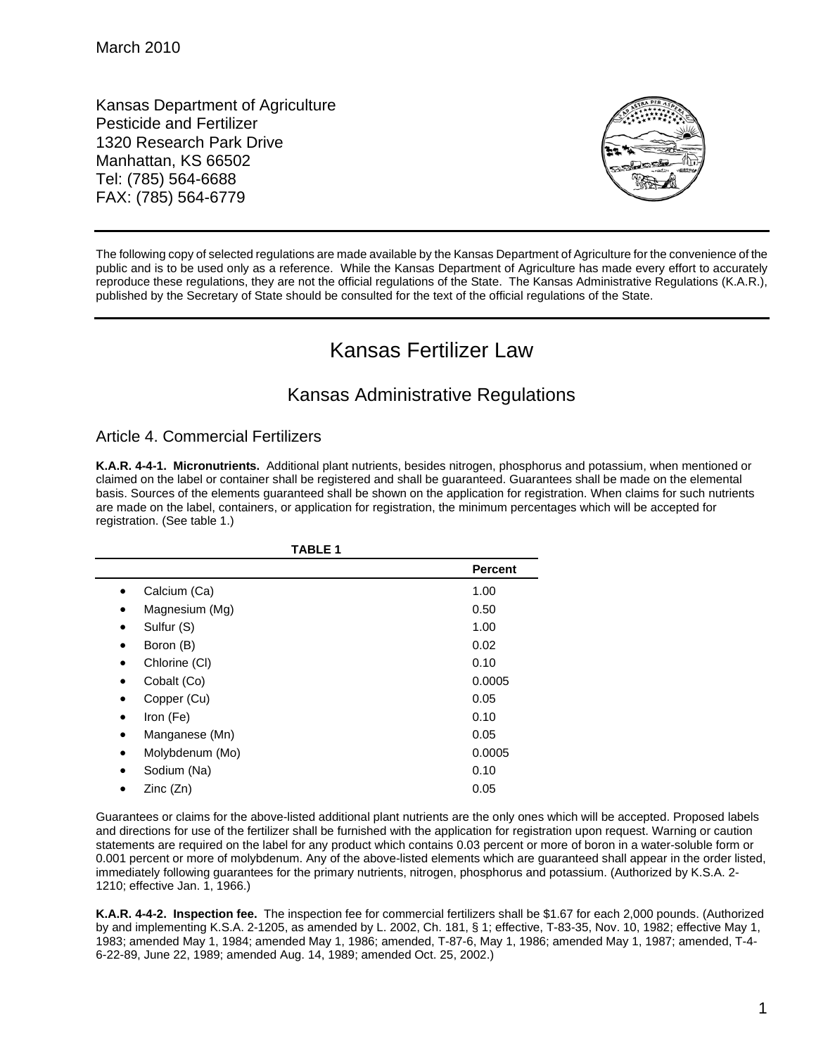Kansas Department of Agriculture Pesticide and Fertilizer 1320 Research Park Drive Manhattan, KS 66502 Tel: (785) 564-6688 FAX: (785) 564-6779



The following copy of selected regulations are made available by the Kansas Department of Agriculture for the convenience of the public and is to be used only as a reference. While the Kansas Department of Agriculture has made every effort to accurately reproduce these regulations, they are not the official regulations of the State. The Kansas Administrative Regulations (K.A.R.), published by the Secretary of State should be consulted for the text of the official regulations of the State.

# Kansas Fertilizer Law

## Kansas Administrative Regulations

## Article 4. Commercial Fertilizers

**K.A.R. 4-4-1. Micronutrients.** Additional plant nutrients, besides nitrogen, phosphorus and potassium, when mentioned or claimed on the label or container shall be registered and shall be guaranteed. Guarantees shall be made on the elemental basis. Sources of the elements guaranteed shall be shown on the application for registration. When claims for such nutrients are made on the label, containers, or application for registration, the minimum percentages which will be accepted for registration. (See table 1.)

| <b>TABLE 1</b>               |                |
|------------------------------|----------------|
|                              | <b>Percent</b> |
| Calcium (Ca)                 | 1.00           |
| Magnesium (Mg)<br>$\bullet$  | 0.50           |
| Sulfur (S)<br>$\bullet$      | 1.00           |
| Boron (B)<br>$\bullet$       | 0.02           |
| Chlorine (CI)<br>$\bullet$   | 0.10           |
| Cobalt (Co)<br>$\bullet$     | 0.0005         |
| Copper (Cu)<br>$\bullet$     | 0.05           |
| Iron (Fe)<br>$\bullet$       | 0.10           |
| Manganese (Mn)<br>$\bullet$  | 0.05           |
| Molybdenum (Mo)<br>$\bullet$ | 0.0005         |
| Sodium (Na)<br>$\bullet$     | 0.10           |
| Zinc (Zn)                    | 0.05           |

Guarantees or claims for the above-listed additional plant nutrients are the only ones which will be accepted. Proposed labels and directions for use of the fertilizer shall be furnished with the application for registration upon request. Warning or caution statements are required on the label for any product which contains 0.03 percent or more of boron in a water-soluble form or 0.001 percent or more of molybdenum. Any of the above-listed elements which are guaranteed shall appear in the order listed, immediately following guarantees for the primary nutrients, nitrogen, phosphorus and potassium. (Authorized by K.S.A. 2- 1210; effective Jan. 1, 1966.)

**K.A.R. 4-4-2. Inspection fee.** The inspection fee for commercial fertilizers shall be \$1.67 for each 2,000 pounds. (Authorized by and implementing K.S.A. 2-1205, as amended by L. 2002, Ch. 181, § 1; effective, T-83-35, Nov. 10, 1982; effective May 1, 1983; amended May 1, 1984; amended May 1, 1986; amended, T-87-6, May 1, 1986; amended May 1, 1987; amended, T-4- 6-22-89, June 22, 1989; amended Aug. 14, 1989; amended Oct. 25, 2002.)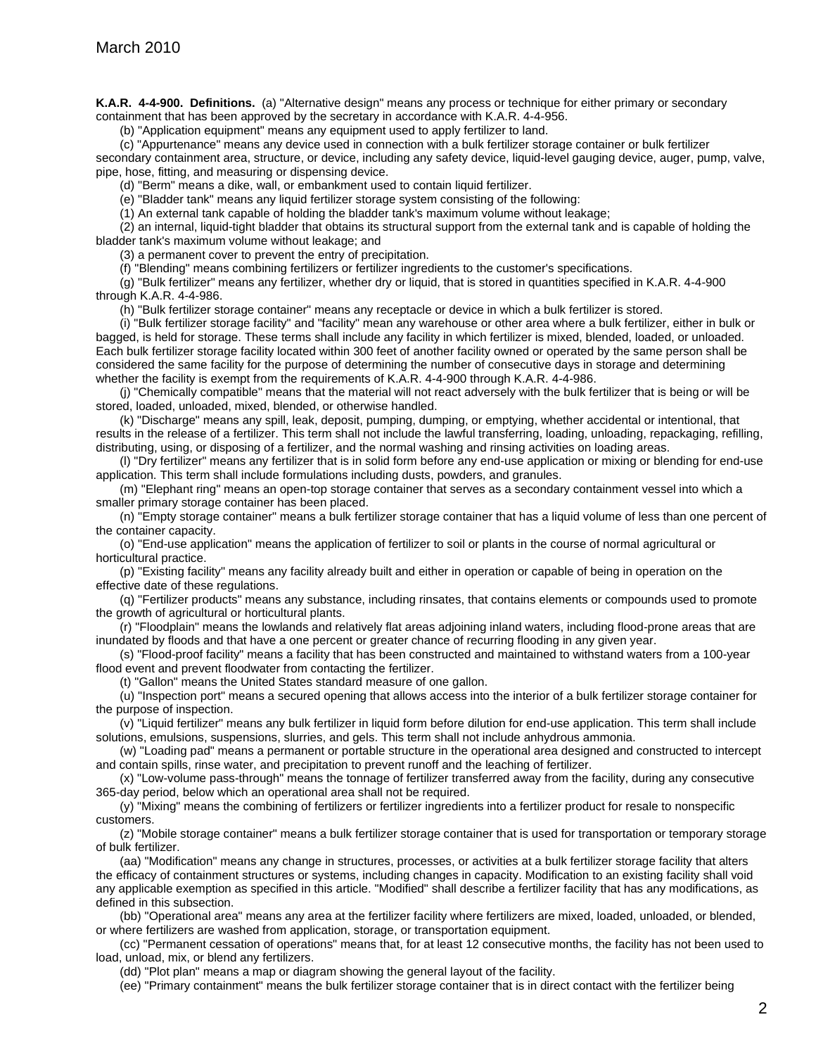**K.A.R. 4-4-900. Definitions.** (a) "Alternative design" means any process or technique for either primary or secondary containment that has been approved by the secretary in accordance with K.A.R. 4-4-956.

(b) "Application equipment" means any equipment used to apply fertilizer to land.

(c) "Appurtenance" means any device used in connection with a bulk fertilizer storage container or bulk fertilizer secondary containment area, structure, or device, including any safety device, liquid-level gauging device, auger, pump, valve, pipe, hose, fitting, and measuring or dispensing device.

(d) "Berm" means a dike, wall, or embankment used to contain liquid fertilizer.

(e) "Bladder tank" means any liquid fertilizer storage system consisting of the following:

(1) An external tank capable of holding the bladder tank's maximum volume without leakage;

(2) an internal, liquid-tight bladder that obtains its structural support from the external tank and is capable of holding the bladder tank's maximum volume without leakage; and

(3) a permanent cover to prevent the entry of precipitation.

(f) "Blending" means combining fertilizers or fertilizer ingredients to the customer's specifications.

(g) "Bulk fertilizer" means any fertilizer, whether dry or liquid, that is stored in quantities specified in K.A.R. 4-4-900 through K.A.R. 4-4-986.

(h) "Bulk fertilizer storage container" means any receptacle or device in which a bulk fertilizer is stored.

(i) "Bulk fertilizer storage facility" and "facility" mean any warehouse or other area where a bulk fertilizer, either in bulk or bagged, is held for storage. These terms shall include any facility in which fertilizer is mixed, blended, loaded, or unloaded. Each bulk fertilizer storage facility located within 300 feet of another facility owned or operated by the same person shall be considered the same facility for the purpose of determining the number of consecutive days in storage and determining whether the facility is exempt from the requirements of K.A.R. 4-4-900 through K.A.R. 4-4-986.

(j) "Chemically compatible" means that the material will not react adversely with the bulk fertilizer that is being or will be stored, loaded, unloaded, mixed, blended, or otherwise handled.

(k) "Discharge" means any spill, leak, deposit, pumping, dumping, or emptying, whether accidental or intentional, that results in the release of a fertilizer. This term shall not include the lawful transferring, loading, unloading, repackaging, refilling, distributing, using, or disposing of a fertilizer, and the normal washing and rinsing activities on loading areas.

(l) "Dry fertilizer" means any fertilizer that is in solid form before any end-use application or mixing or blending for end-use application. This term shall include formulations including dusts, powders, and granules.

(m) "Elephant ring" means an open-top storage container that serves as a secondary containment vessel into which a smaller primary storage container has been placed.

(n) "Empty storage container" means a bulk fertilizer storage container that has a liquid volume of less than one percent of the container capacity.

(o) "End-use application" means the application of fertilizer to soil or plants in the course of normal agricultural or horticultural practice.

(p) "Existing facility" means any facility already built and either in operation or capable of being in operation on the effective date of these regulations.

(q) "Fertilizer products" means any substance, including rinsates, that contains elements or compounds used to promote the growth of agricultural or horticultural plants.

(r) "Floodplain" means the lowlands and relatively flat areas adjoining inland waters, including flood-prone areas that are inundated by floods and that have a one percent or greater chance of recurring flooding in any given year.

(s) "Flood-proof facility" means a facility that has been constructed and maintained to withstand waters from a 100-year flood event and prevent floodwater from contacting the fertilizer.

(t) "Gallon" means the United States standard measure of one gallon.

(u) "Inspection port" means a secured opening that allows access into the interior of a bulk fertilizer storage container for the purpose of inspection.

(v) "Liquid fertilizer" means any bulk fertilizer in liquid form before dilution for end-use application. This term shall include solutions, emulsions, suspensions, slurries, and gels. This term shall not include anhydrous ammonia.

(w) "Loading pad" means a permanent or portable structure in the operational area designed and constructed to intercept and contain spills, rinse water, and precipitation to prevent runoff and the leaching of fertilizer.

(x) "Low-volume pass-through" means the tonnage of fertilizer transferred away from the facility, during any consecutive 365-day period, below which an operational area shall not be required.

(y) "Mixing" means the combining of fertilizers or fertilizer ingredients into a fertilizer product for resale to nonspecific customers.

(z) "Mobile storage container" means a bulk fertilizer storage container that is used for transportation or temporary storage of bulk fertilizer.

(aa) "Modification" means any change in structures, processes, or activities at a bulk fertilizer storage facility that alters the efficacy of containment structures or systems, including changes in capacity. Modification to an existing facility shall void any applicable exemption as specified in this article. "Modified" shall describe a fertilizer facility that has any modifications, as defined in this subsection.

(bb) "Operational area" means any area at the fertilizer facility where fertilizers are mixed, loaded, unloaded, or blended, or where fertilizers are washed from application, storage, or transportation equipment.

(cc) "Permanent cessation of operations" means that, for at least 12 consecutive months, the facility has not been used to load, unload, mix, or blend any fertilizers.

(dd) "Plot plan" means a map or diagram showing the general layout of the facility.

(ee) "Primary containment" means the bulk fertilizer storage container that is in direct contact with the fertilizer being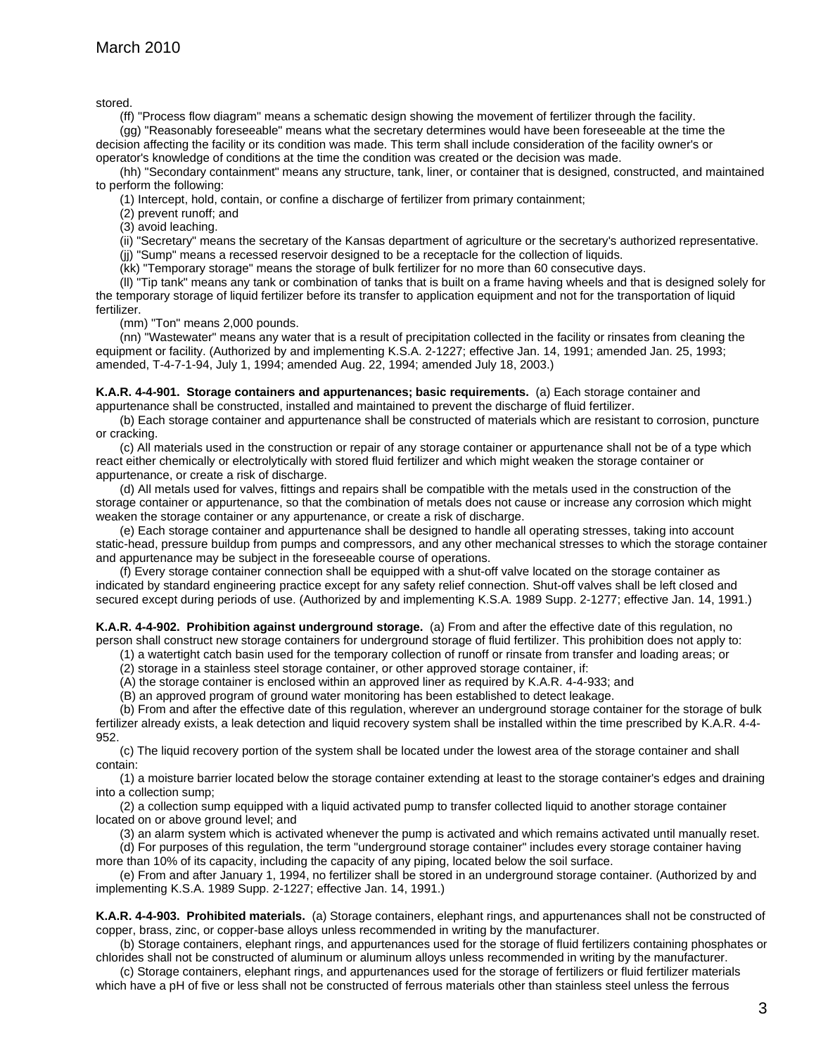stored.

(ff) "Process flow diagram" means a schematic design showing the movement of fertilizer through the facility.

(gg) "Reasonably foreseeable" means what the secretary determines would have been foreseeable at the time the decision affecting the facility or its condition was made. This term shall include consideration of the facility owner's or operator's knowledge of conditions at the time the condition was created or the decision was made.

(hh) "Secondary containment" means any structure, tank, liner, or container that is designed, constructed, and maintained to perform the following:

(1) Intercept, hold, contain, or confine a discharge of fertilizer from primary containment;

(2) prevent runoff; and

(3) avoid leaching.

(ii) "Secretary" means the secretary of the Kansas department of agriculture or the secretary's authorized representative.

(jj) "Sump" means a recessed reservoir designed to be a receptacle for the collection of liquids.

(kk) "Temporary storage" means the storage of bulk fertilizer for no more than 60 consecutive days.

(ll) "Tip tank" means any tank or combination of tanks that is built on a frame having wheels and that is designed solely for the temporary storage of liquid fertilizer before its transfer to application equipment and not for the transportation of liquid fertilizer.

(mm) "Ton" means 2,000 pounds.

(nn) "Wastewater" means any water that is a result of precipitation collected in the facility or rinsates from cleaning the equipment or facility. (Authorized by and implementing K.S.A. 2-1227; effective Jan. 14, 1991; amended Jan. 25, 1993; amended, T-4-7-1-94, July 1, 1994; amended Aug. 22, 1994; amended July 18, 2003.)

**K.A.R. 4-4-901. Storage containers and appurtenances; basic requirements.** (a) Each storage container and appurtenance shall be constructed, installed and maintained to prevent the discharge of fluid fertilizer.

(b) Each storage container and appurtenance shall be constructed of materials which are resistant to corrosion, puncture or cracking.

(c) All materials used in the construction or repair of any storage container or appurtenance shall not be of a type which react either chemically or electrolytically with stored fluid fertilizer and which might weaken the storage container or appurtenance, or create a risk of discharge.

(d) All metals used for valves, fittings and repairs shall be compatible with the metals used in the construction of the storage container or appurtenance, so that the combination of metals does not cause or increase any corrosion which might weaken the storage container or any appurtenance, or create a risk of discharge.

(e) Each storage container and appurtenance shall be designed to handle all operating stresses, taking into account static-head, pressure buildup from pumps and compressors, and any other mechanical stresses to which the storage container and appurtenance may be subject in the foreseeable course of operations.

(f) Every storage container connection shall be equipped with a shut-off valve located on the storage container as indicated by standard engineering practice except for any safety relief connection. Shut-off valves shall be left closed and secured except during periods of use. (Authorized by and implementing K.S.A. 1989 Supp. 2-1277; effective Jan. 14, 1991.)

**K.A.R. 4-4-902. Prohibition against underground storage.** (a) From and after the effective date of this regulation, no person shall construct new storage containers for underground storage of fluid fertilizer. This prohibition does not apply to:

(1) a watertight catch basin used for the temporary collection of runoff or rinsate from transfer and loading areas; or

(2) storage in a stainless steel storage container, or other approved storage container, if:

(A) the storage container is enclosed within an approved liner as required by K.A.R. 4-4-933; and

(B) an approved program of ground water monitoring has been established to detect leakage.

(b) From and after the effective date of this regulation, wherever an underground storage container for the storage of bulk fertilizer already exists, a leak detection and liquid recovery system shall be installed within the time prescribed by K.A.R. 4-4- 952.

(c) The liquid recovery portion of the system shall be located under the lowest area of the storage container and shall contain:

(1) a moisture barrier located below the storage container extending at least to the storage container's edges and draining into a collection sump;

(2) a collection sump equipped with a liquid activated pump to transfer collected liquid to another storage container located on or above ground level; and

(3) an alarm system which is activated whenever the pump is activated and which remains activated until manually reset.

(d) For purposes of this regulation, the term "underground storage container" includes every storage container having more than 10% of its capacity, including the capacity of any piping, located below the soil surface.

(e) From and after January 1, 1994, no fertilizer shall be stored in an underground storage container. (Authorized by and implementing K.S.A. 1989 Supp. 2-1227; effective Jan. 14, 1991.)

**K.A.R. 4-4-903. Prohibited materials.** (a) Storage containers, elephant rings, and appurtenances shall not be constructed of copper, brass, zinc, or copper-base alloys unless recommended in writing by the manufacturer.

(b) Storage containers, elephant rings, and appurtenances used for the storage of fluid fertilizers containing phosphates or chlorides shall not be constructed of aluminum or aluminum alloys unless recommended in writing by the manufacturer.

(c) Storage containers, elephant rings, and appurtenances used for the storage of fertilizers or fluid fertilizer materials which have a pH of five or less shall not be constructed of ferrous materials other than stainless steel unless the ferrous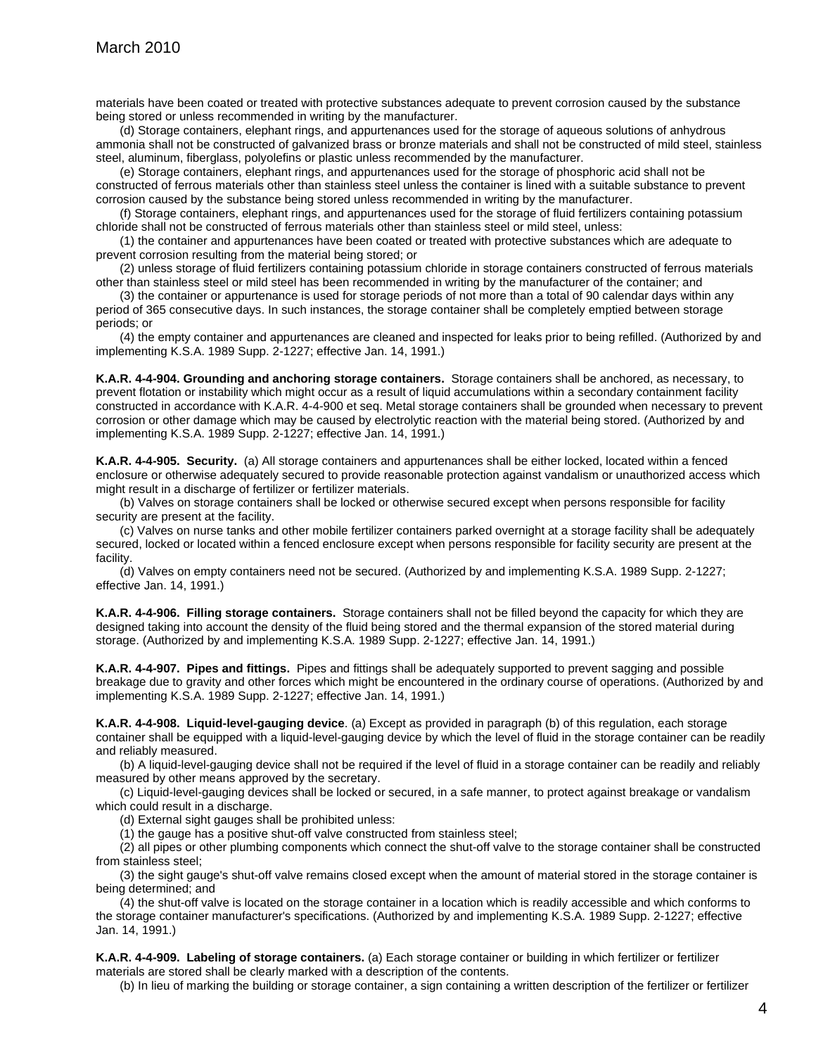materials have been coated or treated with protective substances adequate to prevent corrosion caused by the substance being stored or unless recommended in writing by the manufacturer.

(d) Storage containers, elephant rings, and appurtenances used for the storage of aqueous solutions of anhydrous ammonia shall not be constructed of galvanized brass or bronze materials and shall not be constructed of mild steel, stainless steel, aluminum, fiberglass, polyolefins or plastic unless recommended by the manufacturer.

(e) Storage containers, elephant rings, and appurtenances used for the storage of phosphoric acid shall not be constructed of ferrous materials other than stainless steel unless the container is lined with a suitable substance to prevent corrosion caused by the substance being stored unless recommended in writing by the manufacturer.

(f) Storage containers, elephant rings, and appurtenances used for the storage of fluid fertilizers containing potassium chloride shall not be constructed of ferrous materials other than stainless steel or mild steel, unless:

(1) the container and appurtenances have been coated or treated with protective substances which are adequate to prevent corrosion resulting from the material being stored; or

(2) unless storage of fluid fertilizers containing potassium chloride in storage containers constructed of ferrous materials other than stainless steel or mild steel has been recommended in writing by the manufacturer of the container; and

(3) the container or appurtenance is used for storage periods of not more than a total of 90 calendar days within any period of 365 consecutive days. In such instances, the storage container shall be completely emptied between storage periods; or

(4) the empty container and appurtenances are cleaned and inspected for leaks prior to being refilled. (Authorized by and implementing K.S.A. 1989 Supp. 2-1227; effective Jan. 14, 1991.)

**K.A.R. 4-4-904. Grounding and anchoring storage containers.** Storage containers shall be anchored, as necessary, to prevent flotation or instability which might occur as a result of liquid accumulations within a secondary containment facility constructed in accordance with K.A.R. 4-4-900 et seq. Metal storage containers shall be grounded when necessary to prevent corrosion or other damage which may be caused by electrolytic reaction with the material being stored. (Authorized by and implementing K.S.A. 1989 Supp. 2-1227; effective Jan. 14, 1991.)

**K.A.R. 4-4-905. Security.** (a) All storage containers and appurtenances shall be either locked, located within a fenced enclosure or otherwise adequately secured to provide reasonable protection against vandalism or unauthorized access which might result in a discharge of fertilizer or fertilizer materials.

(b) Valves on storage containers shall be locked or otherwise secured except when persons responsible for facility security are present at the facility.

(c) Valves on nurse tanks and other mobile fertilizer containers parked overnight at a storage facility shall be adequately secured, locked or located within a fenced enclosure except when persons responsible for facility security are present at the facility.

(d) Valves on empty containers need not be secured. (Authorized by and implementing K.S.A. 1989 Supp. 2-1227; effective Jan. 14, 1991.)

**K.A.R. 4-4-906. Filling storage containers.** Storage containers shall not be filled beyond the capacity for which they are designed taking into account the density of the fluid being stored and the thermal expansion of the stored material during storage. (Authorized by and implementing K.S.A. 1989 Supp. 2-1227; effective Jan. 14, 1991.)

**K.A.R. 4-4-907. Pipes and fittings.** Pipes and fittings shall be adequately supported to prevent sagging and possible breakage due to gravity and other forces which might be encountered in the ordinary course of operations. (Authorized by and implementing K.S.A. 1989 Supp. 2-1227; effective Jan. 14, 1991.)

**K.A.R. 4-4-908. Liquid-level-gauging device**. (a) Except as provided in paragraph (b) of this regulation, each storage container shall be equipped with a liquid-level-gauging device by which the level of fluid in the storage container can be readily and reliably measured.

(b) A liquid-level-gauging device shall not be required if the level of fluid in a storage container can be readily and reliably measured by other means approved by the secretary.

(c) Liquid-level-gauging devices shall be locked or secured, in a safe manner, to protect against breakage or vandalism which could result in a discharge.

(d) External sight gauges shall be prohibited unless:

(1) the gauge has a positive shut-off valve constructed from stainless steel;

(2) all pipes or other plumbing components which connect the shut-off valve to the storage container shall be constructed from stainless steel;

(3) the sight gauge's shut-off valve remains closed except when the amount of material stored in the storage container is being determined; and

(4) the shut-off valve is located on the storage container in a location which is readily accessible and which conforms to the storage container manufacturer's specifications. (Authorized by and implementing K.S.A. 1989 Supp. 2-1227; effective Jan. 14, 1991.)

**K.A.R. 4-4-909. Labeling of storage containers.** (a) Each storage container or building in which fertilizer or fertilizer materials are stored shall be clearly marked with a description of the contents.

(b) In lieu of marking the building or storage container, a sign containing a written description of the fertilizer or fertilizer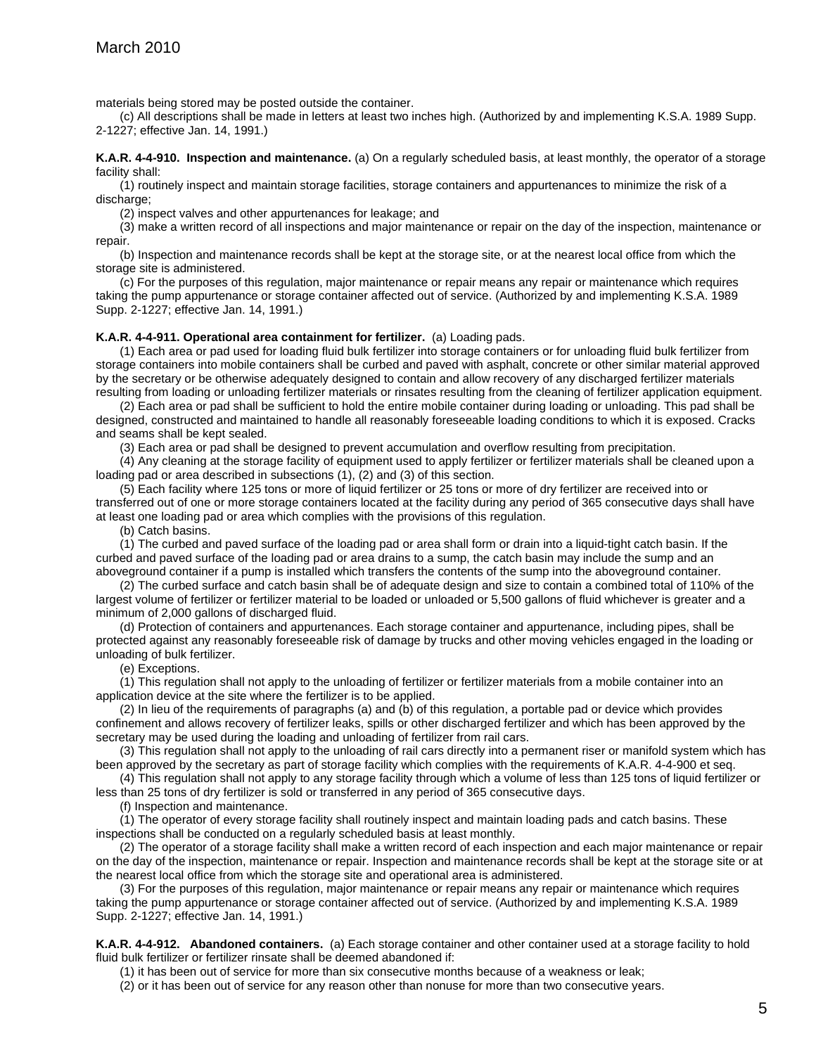materials being stored may be posted outside the container.

(c) All descriptions shall be made in letters at least two inches high. (Authorized by and implementing K.S.A. 1989 Supp. 2-1227; effective Jan. 14, 1991.)

#### **K.A.R. 4-4-910. Inspection and maintenance.** (a) On a regularly scheduled basis, at least monthly, the operator of a storage facility shall:

(1) routinely inspect and maintain storage facilities, storage containers and appurtenances to minimize the risk of a discharge;

(2) inspect valves and other appurtenances for leakage; and

(3) make a written record of all inspections and major maintenance or repair on the day of the inspection, maintenance or repair.

(b) Inspection and maintenance records shall be kept at the storage site, or at the nearest local office from which the storage site is administered.

(c) For the purposes of this regulation, major maintenance or repair means any repair or maintenance which requires taking the pump appurtenance or storage container affected out of service. (Authorized by and implementing K.S.A. 1989 Supp. 2-1227; effective Jan. 14, 1991.)

#### **K.A.R. 4-4-911. Operational area containment for fertilizer.** (a) Loading pads.

(1) Each area or pad used for loading fluid bulk fertilizer into storage containers or for unloading fluid bulk fertilizer from storage containers into mobile containers shall be curbed and paved with asphalt, concrete or other similar material approved by the secretary or be otherwise adequately designed to contain and allow recovery of any discharged fertilizer materials resulting from loading or unloading fertilizer materials or rinsates resulting from the cleaning of fertilizer application equipment.

(2) Each area or pad shall be sufficient to hold the entire mobile container during loading or unloading. This pad shall be designed, constructed and maintained to handle all reasonably foreseeable loading conditions to which it is exposed. Cracks and seams shall be kept sealed.

(3) Each area or pad shall be designed to prevent accumulation and overflow resulting from precipitation.

(4) Any cleaning at the storage facility of equipment used to apply fertilizer or fertilizer materials shall be cleaned upon a loading pad or area described in subsections (1), (2) and (3) of this section.

(5) Each facility where 125 tons or more of liquid fertilizer or 25 tons or more of dry fertilizer are received into or transferred out of one or more storage containers located at the facility during any period of 365 consecutive days shall have at least one loading pad or area which complies with the provisions of this regulation.

(b) Catch basins.

(1) The curbed and paved surface of the loading pad or area shall form or drain into a liquid-tight catch basin. If the curbed and paved surface of the loading pad or area drains to a sump, the catch basin may include the sump and an aboveground container if a pump is installed which transfers the contents of the sump into the aboveground container.

(2) The curbed surface and catch basin shall be of adequate design and size to contain a combined total of 110% of the largest volume of fertilizer or fertilizer material to be loaded or unloaded or 5,500 gallons of fluid whichever is greater and a minimum of 2,000 gallons of discharged fluid.

(d) Protection of containers and appurtenances. Each storage container and appurtenance, including pipes, shall be protected against any reasonably foreseeable risk of damage by trucks and other moving vehicles engaged in the loading or unloading of bulk fertilizer.

(e) Exceptions.

(1) This regulation shall not apply to the unloading of fertilizer or fertilizer materials from a mobile container into an application device at the site where the fertilizer is to be applied.

(2) In lieu of the requirements of paragraphs (a) and (b) of this regulation, a portable pad or device which provides confinement and allows recovery of fertilizer leaks, spills or other discharged fertilizer and which has been approved by the secretary may be used during the loading and unloading of fertilizer from rail cars.

(3) This regulation shall not apply to the unloading of rail cars directly into a permanent riser or manifold system which has been approved by the secretary as part of storage facility which complies with the requirements of K.A.R. 4-4-900 et seq.

(4) This regulation shall not apply to any storage facility through which a volume of less than 125 tons of liquid fertilizer or less than 25 tons of dry fertilizer is sold or transferred in any period of 365 consecutive days.

(f) Inspection and maintenance.

(1) The operator of every storage facility shall routinely inspect and maintain loading pads and catch basins. These inspections shall be conducted on a regularly scheduled basis at least monthly.

(2) The operator of a storage facility shall make a written record of each inspection and each major maintenance or repair on the day of the inspection, maintenance or repair. Inspection and maintenance records shall be kept at the storage site or at the nearest local office from which the storage site and operational area is administered.

(3) For the purposes of this regulation, major maintenance or repair means any repair or maintenance which requires taking the pump appurtenance or storage container affected out of service. (Authorized by and implementing K.S.A. 1989 Supp. 2-1227; effective Jan. 14, 1991.)

**K.A.R. 4-4-912. Abandoned containers.** (a) Each storage container and other container used at a storage facility to hold fluid bulk fertilizer or fertilizer rinsate shall be deemed abandoned if:

(1) it has been out of service for more than six consecutive months because of a weakness or leak;

(2) or it has been out of service for any reason other than nonuse for more than two consecutive years.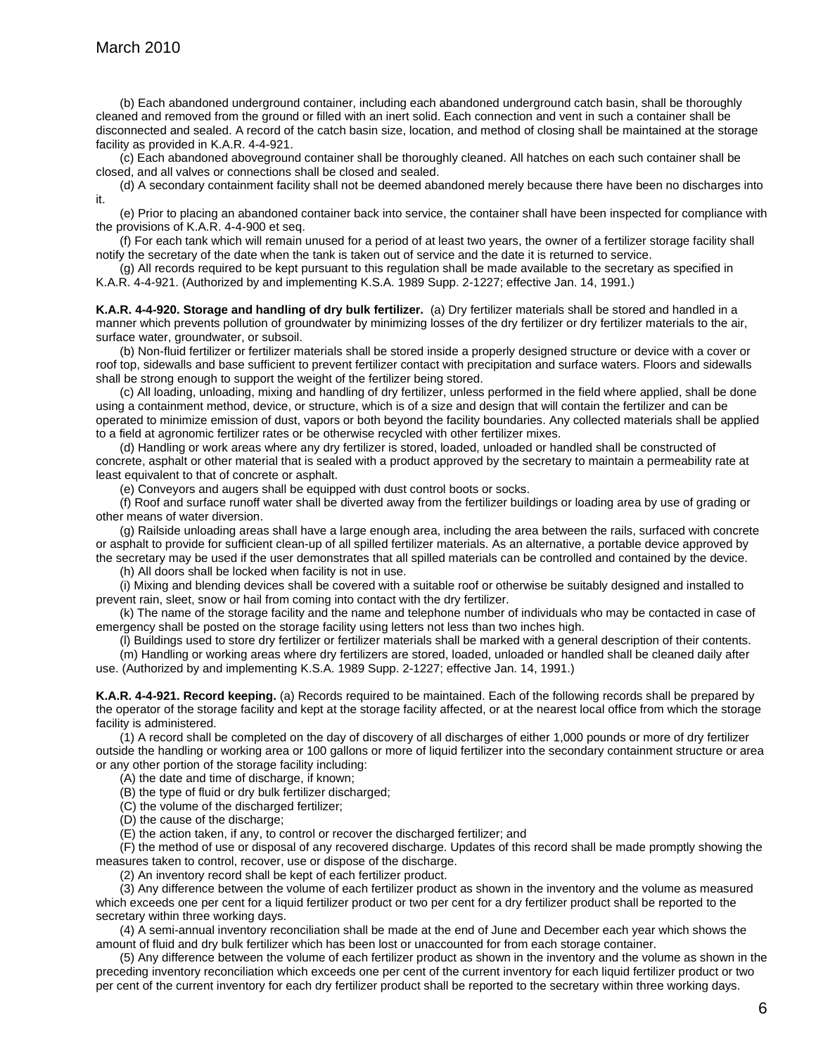(b) Each abandoned underground container, including each abandoned underground catch basin, shall be thoroughly cleaned and removed from the ground or filled with an inert solid. Each connection and vent in such a container shall be disconnected and sealed. A record of the catch basin size, location, and method of closing shall be maintained at the storage facility as provided in K.A.R. 4-4-921.

(c) Each abandoned aboveground container shall be thoroughly cleaned. All hatches on each such container shall be closed, and all valves or connections shall be closed and sealed.

(d) A secondary containment facility shall not be deemed abandoned merely because there have been no discharges into it.

(e) Prior to placing an abandoned container back into service, the container shall have been inspected for compliance with the provisions of K.A.R. 4-4-900 et seq.

(f) For each tank which will remain unused for a period of at least two years, the owner of a fertilizer storage facility shall notify the secretary of the date when the tank is taken out of service and the date it is returned to service.

(g) All records required to be kept pursuant to this regulation shall be made available to the secretary as specified in K.A.R. 4-4-921. (Authorized by and implementing K.S.A. 1989 Supp. 2-1227; effective Jan. 14, 1991.)

**K.A.R. 4-4-920. Storage and handling of dry bulk fertilizer.** (a) Dry fertilizer materials shall be stored and handled in a manner which prevents pollution of groundwater by minimizing losses of the dry fertilizer or dry fertilizer materials to the air, surface water, groundwater, or subsoil.

(b) Non-fluid fertilizer or fertilizer materials shall be stored inside a properly designed structure or device with a cover or roof top, sidewalls and base sufficient to prevent fertilizer contact with precipitation and surface waters. Floors and sidewalls shall be strong enough to support the weight of the fertilizer being stored.

(c) All loading, unloading, mixing and handling of dry fertilizer, unless performed in the field where applied, shall be done using a containment method, device, or structure, which is of a size and design that will contain the fertilizer and can be operated to minimize emission of dust, vapors or both beyond the facility boundaries. Any collected materials shall be applied to a field at agronomic fertilizer rates or be otherwise recycled with other fertilizer mixes.

(d) Handling or work areas where any dry fertilizer is stored, loaded, unloaded or handled shall be constructed of concrete, asphalt or other material that is sealed with a product approved by the secretary to maintain a permeability rate at least equivalent to that of concrete or asphalt.

(e) Conveyors and augers shall be equipped with dust control boots or socks.

(f) Roof and surface runoff water shall be diverted away from the fertilizer buildings or loading area by use of grading or other means of water diversion.

(g) Railside unloading areas shall have a large enough area, including the area between the rails, surfaced with concrete or asphalt to provide for sufficient clean-up of all spilled fertilizer materials. As an alternative, a portable device approved by the secretary may be used if the user demonstrates that all spilled materials can be controlled and contained by the device.

(h) All doors shall be locked when facility is not in use.

(i) Mixing and blending devices shall be covered with a suitable roof or otherwise be suitably designed and installed to prevent rain, sleet, snow or hail from coming into contact with the dry fertilizer.

(k) The name of the storage facility and the name and telephone number of individuals who may be contacted in case of emergency shall be posted on the storage facility using letters not less than two inches high.

(l) Buildings used to store dry fertilizer or fertilizer materials shall be marked with a general description of their contents.

(m) Handling or working areas where dry fertilizers are stored, loaded, unloaded or handled shall be cleaned daily after use. (Authorized by and implementing K.S.A. 1989 Supp. 2-1227; effective Jan. 14, 1991.)

**K.A.R. 4-4-921. Record keeping.** (a) Records required to be maintained. Each of the following records shall be prepared by the operator of the storage facility and kept at the storage facility affected, or at the nearest local office from which the storage facility is administered.

(1) A record shall be completed on the day of discovery of all discharges of either 1,000 pounds or more of dry fertilizer outside the handling or working area or 100 gallons or more of liquid fertilizer into the secondary containment structure or area or any other portion of the storage facility including:

(A) the date and time of discharge, if known;

(B) the type of fluid or dry bulk fertilizer discharged;

(C) the volume of the discharged fertilizer;

(D) the cause of the discharge:

(E) the action taken, if any, to control or recover the discharged fertilizer; and

(F) the method of use or disposal of any recovered discharge. Updates of this record shall be made promptly showing the measures taken to control, recover, use or dispose of the discharge.

(2) An inventory record shall be kept of each fertilizer product.

(3) Any difference between the volume of each fertilizer product as shown in the inventory and the volume as measured which exceeds one per cent for a liquid fertilizer product or two per cent for a dry fertilizer product shall be reported to the secretary within three working days.

(4) A semi-annual inventory reconciliation shall be made at the end of June and December each year which shows the amount of fluid and dry bulk fertilizer which has been lost or unaccounted for from each storage container.

(5) Any difference between the volume of each fertilizer product as shown in the inventory and the volume as shown in the preceding inventory reconciliation which exceeds one per cent of the current inventory for each liquid fertilizer product or two per cent of the current inventory for each dry fertilizer product shall be reported to the secretary within three working days.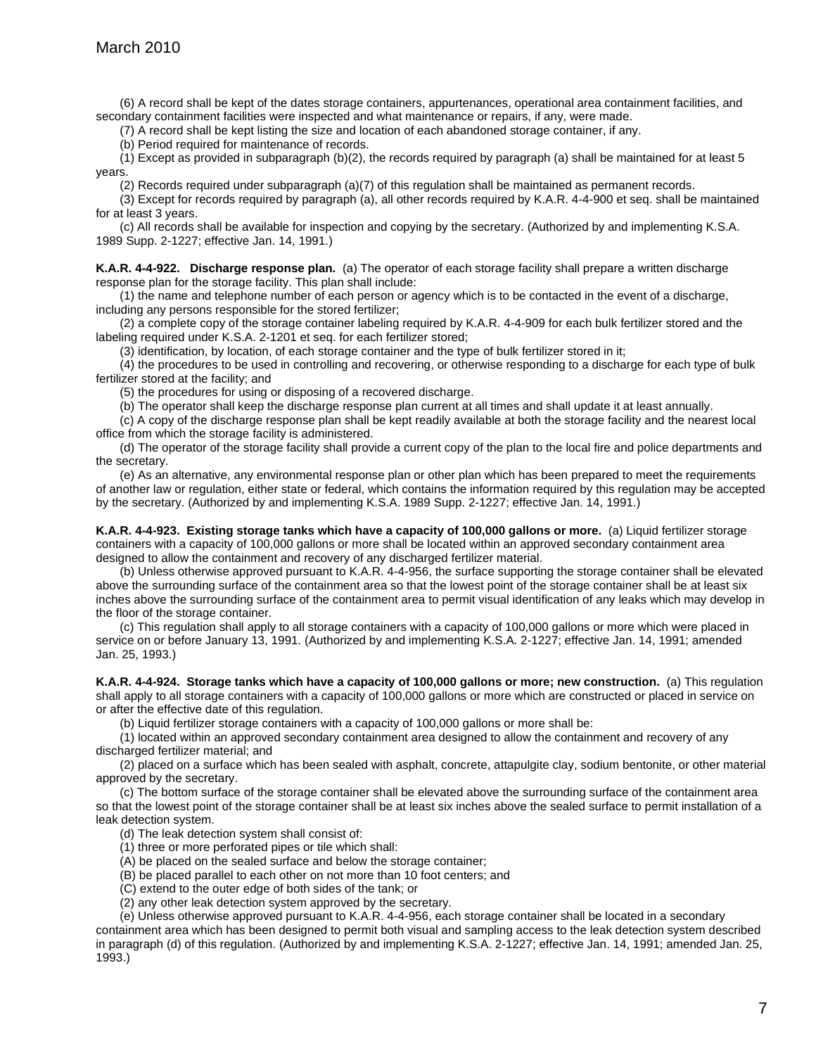(6) A record shall be kept of the dates storage containers, appurtenances, operational area containment facilities, and secondary containment facilities were inspected and what maintenance or repairs, if any, were made.

(7) A record shall be kept listing the size and location of each abandoned storage container, if any.

(b) Period required for maintenance of records.

(1) Except as provided in subparagraph (b)(2), the records required by paragraph (a) shall be maintained for at least 5 years.

(2) Records required under subparagraph (a)(7) of this regulation shall be maintained as permanent records.

(3) Except for records required by paragraph (a), all other records required by K.A.R. 4-4-900 et seq. shall be maintained for at least 3 years.

(c) All records shall be available for inspection and copying by the secretary. (Authorized by and implementing K.S.A. 1989 Supp. 2-1227; effective Jan. 14, 1991.)

**K.A.R. 4-4-922. Discharge response plan.** (a) The operator of each storage facility shall prepare a written discharge response plan for the storage facility. This plan shall include:

(1) the name and telephone number of each person or agency which is to be contacted in the event of a discharge, including any persons responsible for the stored fertilizer;

(2) a complete copy of the storage container labeling required by K.A.R. 4-4-909 for each bulk fertilizer stored and the labeling required under K.S.A. 2-1201 et seq. for each fertilizer stored;

(3) identification, by location, of each storage container and the type of bulk fertilizer stored in it;

(4) the procedures to be used in controlling and recovering, or otherwise responding to a discharge for each type of bulk fertilizer stored at the facility; and

(5) the procedures for using or disposing of a recovered discharge.

(b) The operator shall keep the discharge response plan current at all times and shall update it at least annually.

(c) A copy of the discharge response plan shall be kept readily available at both the storage facility and the nearest local office from which the storage facility is administered.

(d) The operator of the storage facility shall provide a current copy of the plan to the local fire and police departments and the secretary.

(e) As an alternative, any environmental response plan or other plan which has been prepared to meet the requirements of another law or regulation, either state or federal, which contains the information required by this regulation may be accepted by the secretary. (Authorized by and implementing K.S.A. 1989 Supp. 2-1227; effective Jan. 14, 1991.)

**K.A.R. 4-4-923. Existing storage tanks which have a capacity of 100,000 gallons or more.** (a) Liquid fertilizer storage containers with a capacity of 100,000 gallons or more shall be located within an approved secondary containment area designed to allow the containment and recovery of any discharged fertilizer material.

(b) Unless otherwise approved pursuant to K.A.R. 4-4-956, the surface supporting the storage container shall be elevated above the surrounding surface of the containment area so that the lowest point of the storage container shall be at least six inches above the surrounding surface of the containment area to permit visual identification of any leaks which may develop in the floor of the storage container.

(c) This regulation shall apply to all storage containers with a capacity of 100,000 gallons or more which were placed in service on or before January 13, 1991. (Authorized by and implementing K.S.A. 2-1227; effective Jan. 14, 1991; amended Jan. 25, 1993.)

**K.A.R. 4-4-924. Storage tanks which have a capacity of 100,000 gallons or more; new construction.** (a) This regulation shall apply to all storage containers with a capacity of 100,000 gallons or more which are constructed or placed in service on or after the effective date of this regulation.

(b) Liquid fertilizer storage containers with a capacity of 100,000 gallons or more shall be:

(1) located within an approved secondary containment area designed to allow the containment and recovery of any discharged fertilizer material; and

(2) placed on a surface which has been sealed with asphalt, concrete, attapulgite clay, sodium bentonite, or other material approved by the secretary.

(c) The bottom surface of the storage container shall be elevated above the surrounding surface of the containment area so that the lowest point of the storage container shall be at least six inches above the sealed surface to permit installation of a leak detection system.

(d) The leak detection system shall consist of:

- (1) three or more perforated pipes or tile which shall:
- (A) be placed on the sealed surface and below the storage container;
- (B) be placed parallel to each other on not more than 10 foot centers; and
- (C) extend to the outer edge of both sides of the tank; or
- (2) any other leak detection system approved by the secretary.

(e) Unless otherwise approved pursuant to K.A.R. 4-4-956, each storage container shall be located in a secondary containment area which has been designed to permit both visual and sampling access to the leak detection system described in paragraph (d) of this regulation. (Authorized by and implementing K.S.A. 2-1227; effective Jan. 14, 1991; amended Jan. 25, 1993.)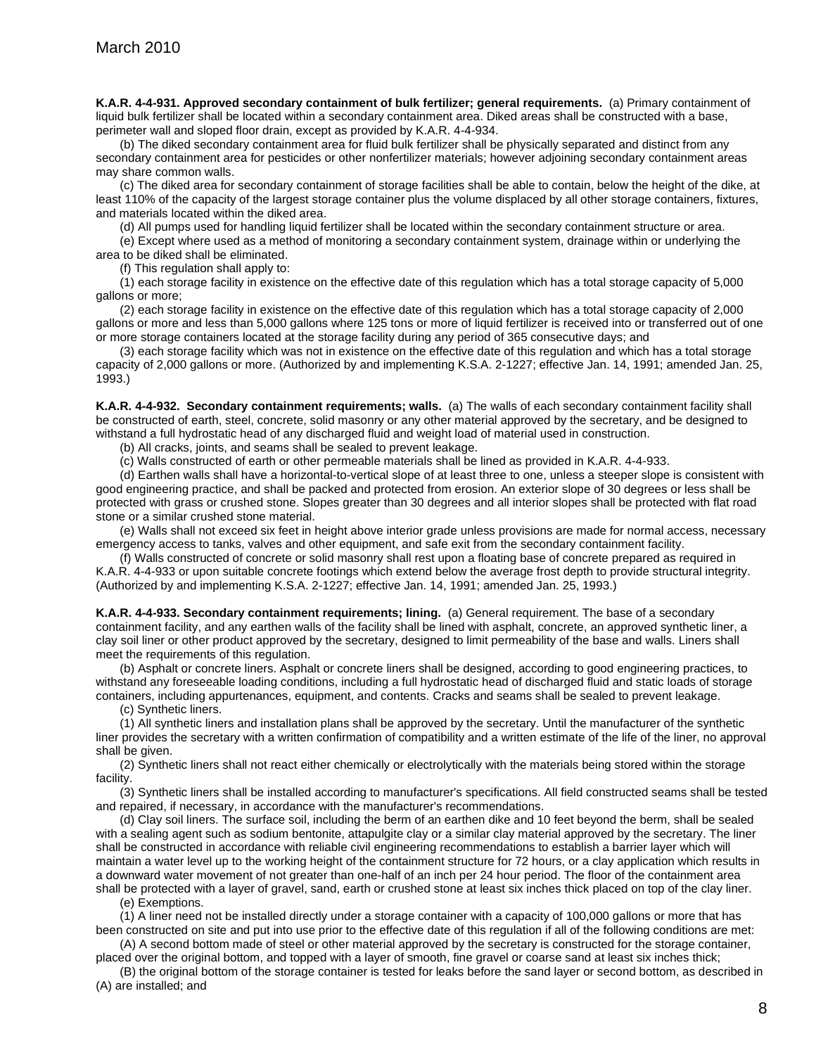**K.A.R. 4-4-931. Approved secondary containment of bulk fertilizer; general requirements.** (a) Primary containment of liquid bulk fertilizer shall be located within a secondary containment area. Diked areas shall be constructed with a base, perimeter wall and sloped floor drain, except as provided by K.A.R. 4-4-934.

(b) The diked secondary containment area for fluid bulk fertilizer shall be physically separated and distinct from any secondary containment area for pesticides or other nonfertilizer materials; however adjoining secondary containment areas may share common walls.

(c) The diked area for secondary containment of storage facilities shall be able to contain, below the height of the dike, at least 110% of the capacity of the largest storage container plus the volume displaced by all other storage containers, fixtures, and materials located within the diked area.

(d) All pumps used for handling liquid fertilizer shall be located within the secondary containment structure or area.

(e) Except where used as a method of monitoring a secondary containment system, drainage within or underlying the area to be diked shall be eliminated.

(f) This regulation shall apply to:

(1) each storage facility in existence on the effective date of this regulation which has a total storage capacity of 5,000 gallons or more;

(2) each storage facility in existence on the effective date of this regulation which has a total storage capacity of 2,000 gallons or more and less than 5,000 gallons where 125 tons or more of liquid fertilizer is received into or transferred out of one or more storage containers located at the storage facility during any period of 365 consecutive days; and

(3) each storage facility which was not in existence on the effective date of this regulation and which has a total storage capacity of 2,000 gallons or more. (Authorized by and implementing K.S.A. 2-1227; effective Jan. 14, 1991; amended Jan. 25, 1993.)

**K.A.R. 4-4-932. Secondary containment requirements; walls.** (a) The walls of each secondary containment facility shall be constructed of earth, steel, concrete, solid masonry or any other material approved by the secretary, and be designed to withstand a full hydrostatic head of any discharged fluid and weight load of material used in construction.

(b) All cracks, joints, and seams shall be sealed to prevent leakage.

(c) Walls constructed of earth or other permeable materials shall be lined as provided in K.A.R. 4-4-933.

(d) Earthen walls shall have a horizontal-to-vertical slope of at least three to one, unless a steeper slope is consistent with good engineering practice, and shall be packed and protected from erosion. An exterior slope of 30 degrees or less shall be protected with grass or crushed stone. Slopes greater than 30 degrees and all interior slopes shall be protected with flat road stone or a similar crushed stone material.

(e) Walls shall not exceed six feet in height above interior grade unless provisions are made for normal access, necessary emergency access to tanks, valves and other equipment, and safe exit from the secondary containment facility.

(f) Walls constructed of concrete or solid masonry shall rest upon a floating base of concrete prepared as required in K.A.R. 4-4-933 or upon suitable concrete footings which extend below the average frost depth to provide structural integrity. (Authorized by and implementing K.S.A. 2-1227; effective Jan. 14, 1991; amended Jan. 25, 1993.)

**K.A.R. 4-4-933. Secondary containment requirements; lining.** (a) General requirement. The base of a secondary containment facility, and any earthen walls of the facility shall be lined with asphalt, concrete, an approved synthetic liner, a clay soil liner or other product approved by the secretary, designed to limit permeability of the base and walls. Liners shall meet the requirements of this regulation.

(b) Asphalt or concrete liners. Asphalt or concrete liners shall be designed, according to good engineering practices, to withstand any foreseeable loading conditions, including a full hydrostatic head of discharged fluid and static loads of storage containers, including appurtenances, equipment, and contents. Cracks and seams shall be sealed to prevent leakage.

(c) Synthetic liners.

(1) All synthetic liners and installation plans shall be approved by the secretary. Until the manufacturer of the synthetic liner provides the secretary with a written confirmation of compatibility and a written estimate of the life of the liner, no approval shall be given.

(2) Synthetic liners shall not react either chemically or electrolytically with the materials being stored within the storage facility.

(3) Synthetic liners shall be installed according to manufacturer's specifications. All field constructed seams shall be tested and repaired, if necessary, in accordance with the manufacturer's recommendations.

(d) Clay soil liners. The surface soil, including the berm of an earthen dike and 10 feet beyond the berm, shall be sealed with a sealing agent such as sodium bentonite, attapulgite clay or a similar clay material approved by the secretary. The liner shall be constructed in accordance with reliable civil engineering recommendations to establish a barrier layer which will maintain a water level up to the working height of the containment structure for 72 hours, or a clay application which results in a downward water movement of not greater than one-half of an inch per 24 hour period. The floor of the containment area shall be protected with a layer of gravel, sand, earth or crushed stone at least six inches thick placed on top of the clay liner. (e) Exemptions.

(1) A liner need not be installed directly under a storage container with a capacity of 100,000 gallons or more that has been constructed on site and put into use prior to the effective date of this regulation if all of the following conditions are met:

(A) A second bottom made of steel or other material approved by the secretary is constructed for the storage container, placed over the original bottom, and topped with a layer of smooth, fine gravel or coarse sand at least six inches thick;

(B) the original bottom of the storage container is tested for leaks before the sand layer or second bottom, as described in (A) are installed; and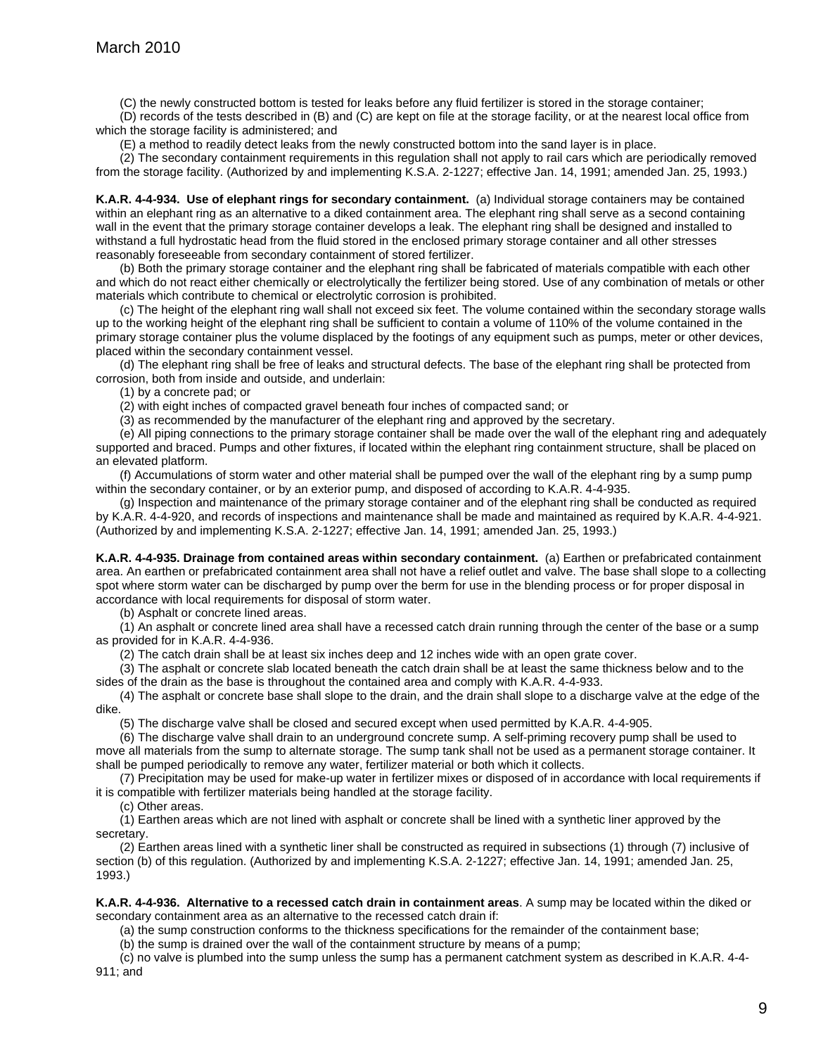(C) the newly constructed bottom is tested for leaks before any fluid fertilizer is stored in the storage container;

(D) records of the tests described in (B) and (C) are kept on file at the storage facility, or at the nearest local office from which the storage facility is administered; and

(E) a method to readily detect leaks from the newly constructed bottom into the sand layer is in place.

(2) The secondary containment requirements in this regulation shall not apply to rail cars which are periodically removed from the storage facility. (Authorized by and implementing K.S.A. 2-1227; effective Jan. 14, 1991; amended Jan. 25, 1993.)

**K.A.R. 4-4-934. Use of elephant rings for secondary containment.** (a) Individual storage containers may be contained within an elephant ring as an alternative to a diked containment area. The elephant ring shall serve as a second containing wall in the event that the primary storage container develops a leak. The elephant ring shall be designed and installed to withstand a full hydrostatic head from the fluid stored in the enclosed primary storage container and all other stresses reasonably foreseeable from secondary containment of stored fertilizer.

(b) Both the primary storage container and the elephant ring shall be fabricated of materials compatible with each other and which do not react either chemically or electrolytically the fertilizer being stored. Use of any combination of metals or other materials which contribute to chemical or electrolytic corrosion is prohibited.

(c) The height of the elephant ring wall shall not exceed six feet. The volume contained within the secondary storage walls up to the working height of the elephant ring shall be sufficient to contain a volume of 110% of the volume contained in the primary storage container plus the volume displaced by the footings of any equipment such as pumps, meter or other devices, placed within the secondary containment vessel.

(d) The elephant ring shall be free of leaks and structural defects. The base of the elephant ring shall be protected from corrosion, both from inside and outside, and underlain:

(1) by a concrete pad; or

(2) with eight inches of compacted gravel beneath four inches of compacted sand; or

(3) as recommended by the manufacturer of the elephant ring and approved by the secretary.

(e) All piping connections to the primary storage container shall be made over the wall of the elephant ring and adequately supported and braced. Pumps and other fixtures, if located within the elephant ring containment structure, shall be placed on an elevated platform.

(f) Accumulations of storm water and other material shall be pumped over the wall of the elephant ring by a sump pump within the secondary container, or by an exterior pump, and disposed of according to K.A.R. 4-4-935.

(g) Inspection and maintenance of the primary storage container and of the elephant ring shall be conducted as required by K.A.R. 4-4-920, and records of inspections and maintenance shall be made and maintained as required by K.A.R. 4-4-921. (Authorized by and implementing K.S.A. 2-1227; effective Jan. 14, 1991; amended Jan. 25, 1993.)

**K.A.R. 4-4-935. Drainage from contained areas within secondary containment.** (a) Earthen or prefabricated containment area. An earthen or prefabricated containment area shall not have a relief outlet and valve. The base shall slope to a collecting spot where storm water can be discharged by pump over the berm for use in the blending process or for proper disposal in accordance with local requirements for disposal of storm water.

(b) Asphalt or concrete lined areas.

(1) An asphalt or concrete lined area shall have a recessed catch drain running through the center of the base or a sump as provided for in K.A.R. 4-4-936.

(2) The catch drain shall be at least six inches deep and 12 inches wide with an open grate cover.

(3) The asphalt or concrete slab located beneath the catch drain shall be at least the same thickness below and to the

sides of the drain as the base is throughout the contained area and comply with K.A.R. 4-4-933.

(4) The asphalt or concrete base shall slope to the drain, and the drain shall slope to a discharge valve at the edge of the dike.

(5) The discharge valve shall be closed and secured except when used permitted by K.A.R. 4-4-905.

(6) The discharge valve shall drain to an underground concrete sump. A self-priming recovery pump shall be used to move all materials from the sump to alternate storage. The sump tank shall not be used as a permanent storage container. It shall be pumped periodically to remove any water, fertilizer material or both which it collects.

(7) Precipitation may be used for make-up water in fertilizer mixes or disposed of in accordance with local requirements if it is compatible with fertilizer materials being handled at the storage facility.

(c) Other areas.

(1) Earthen areas which are not lined with asphalt or concrete shall be lined with a synthetic liner approved by the secretary.

(2) Earthen areas lined with a synthetic liner shall be constructed as required in subsections (1) through (7) inclusive of section (b) of this regulation. (Authorized by and implementing K.S.A. 2-1227; effective Jan. 14, 1991; amended Jan. 25, 1993.)

**K.A.R. 4-4-936. Alternative to a recessed catch drain in containment areas**. A sump may be located within the diked or secondary containment area as an alternative to the recessed catch drain if:

(a) the sump construction conforms to the thickness specifications for the remainder of the containment base;

(b) the sump is drained over the wall of the containment structure by means of a pump;

(c) no valve is plumbed into the sump unless the sump has a permanent catchment system as described in K.A.R. 4-4- 911; and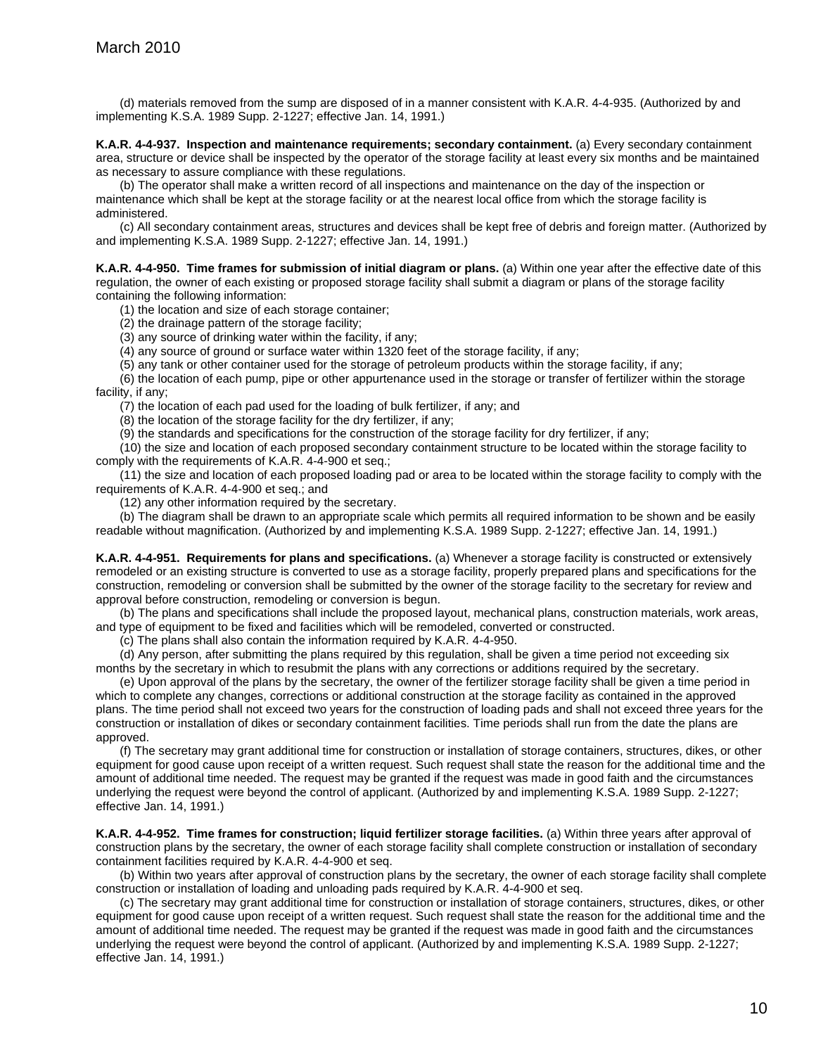(d) materials removed from the sump are disposed of in a manner consistent with K.A.R. 4-4-935. (Authorized by and implementing K.S.A. 1989 Supp. 2-1227; effective Jan. 14, 1991.)

**K.A.R. 4-4-937. Inspection and maintenance requirements; secondary containment.** (a) Every secondary containment area, structure or device shall be inspected by the operator of the storage facility at least every six months and be maintained as necessary to assure compliance with these regulations.

(b) The operator shall make a written record of all inspections and maintenance on the day of the inspection or maintenance which shall be kept at the storage facility or at the nearest local office from which the storage facility is administered.

(c) All secondary containment areas, structures and devices shall be kept free of debris and foreign matter. (Authorized by and implementing K.S.A. 1989 Supp. 2-1227; effective Jan. 14, 1991.)

**K.A.R. 4-4-950. Time frames for submission of initial diagram or plans.** (a) Within one year after the effective date of this regulation, the owner of each existing or proposed storage facility shall submit a diagram or plans of the storage facility containing the following information:

(1) the location and size of each storage container;

(2) the drainage pattern of the storage facility;

(3) any source of drinking water within the facility, if any;

(4) any source of ground or surface water within 1320 feet of the storage facility, if any;

(5) any tank or other container used for the storage of petroleum products within the storage facility, if any;

(6) the location of each pump, pipe or other appurtenance used in the storage or transfer of fertilizer within the storage facility, if any;

(7) the location of each pad used for the loading of bulk fertilizer, if any; and

(8) the location of the storage facility for the dry fertilizer, if any;

(9) the standards and specifications for the construction of the storage facility for dry fertilizer, if any;

(10) the size and location of each proposed secondary containment structure to be located within the storage facility to comply with the requirements of K.A.R. 4-4-900 et seq.;

(11) the size and location of each proposed loading pad or area to be located within the storage facility to comply with the requirements of K.A.R. 4-4-900 et seq.; and

(12) any other information required by the secretary.

(b) The diagram shall be drawn to an appropriate scale which permits all required information to be shown and be easily readable without magnification. (Authorized by and implementing K.S.A. 1989 Supp. 2-1227; effective Jan. 14, 1991.)

**K.A.R. 4-4-951. Requirements for plans and specifications.** (a) Whenever a storage facility is constructed or extensively remodeled or an existing structure is converted to use as a storage facility, properly prepared plans and specifications for the construction, remodeling or conversion shall be submitted by the owner of the storage facility to the secretary for review and approval before construction, remodeling or conversion is begun.

(b) The plans and specifications shall include the proposed layout, mechanical plans, construction materials, work areas, and type of equipment to be fixed and facilities which will be remodeled, converted or constructed.

(c) The plans shall also contain the information required by K.A.R. 4-4-950.

(d) Any person, after submitting the plans required by this regulation, shall be given a time period not exceeding six months by the secretary in which to resubmit the plans with any corrections or additions required by the secretary.

(e) Upon approval of the plans by the secretary, the owner of the fertilizer storage facility shall be given a time period in which to complete any changes, corrections or additional construction at the storage facility as contained in the approved plans. The time period shall not exceed two years for the construction of loading pads and shall not exceed three years for the construction or installation of dikes or secondary containment facilities. Time periods shall run from the date the plans are approved.

(f) The secretary may grant additional time for construction or installation of storage containers, structures, dikes, or other equipment for good cause upon receipt of a written request. Such request shall state the reason for the additional time and the amount of additional time needed. The request may be granted if the request was made in good faith and the circumstances underlying the request were beyond the control of applicant. (Authorized by and implementing K.S.A. 1989 Supp. 2-1227; effective Jan. 14, 1991.)

**K.A.R. 4-4-952. Time frames for construction; liquid fertilizer storage facilities.** (a) Within three years after approval of construction plans by the secretary, the owner of each storage facility shall complete construction or installation of secondary containment facilities required by K.A.R. 4-4-900 et seq.

(b) Within two years after approval of construction plans by the secretary, the owner of each storage facility shall complete construction or installation of loading and unloading pads required by K.A.R. 4-4-900 et seq.

(c) The secretary may grant additional time for construction or installation of storage containers, structures, dikes, or other equipment for good cause upon receipt of a written request. Such request shall state the reason for the additional time and the amount of additional time needed. The request may be granted if the request was made in good faith and the circumstances underlying the request were beyond the control of applicant. (Authorized by and implementing K.S.A. 1989 Supp. 2-1227; effective Jan. 14, 1991.)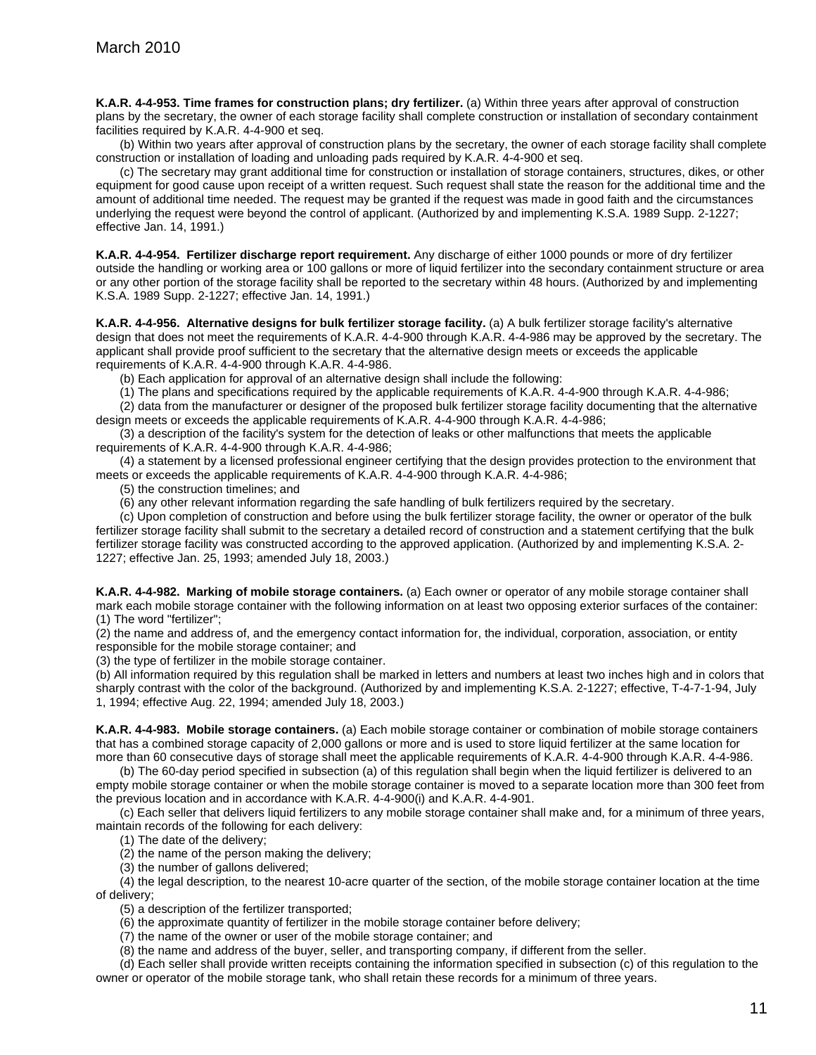**K.A.R. 4-4-953. Time frames for construction plans; dry fertilizer.** (a) Within three years after approval of construction plans by the secretary, the owner of each storage facility shall complete construction or installation of secondary containment facilities required by K.A.R. 4-4-900 et seq.

(b) Within two years after approval of construction plans by the secretary, the owner of each storage facility shall complete construction or installation of loading and unloading pads required by K.A.R. 4-4-900 et seq.

(c) The secretary may grant additional time for construction or installation of storage containers, structures, dikes, or other equipment for good cause upon receipt of a written request. Such request shall state the reason for the additional time and the amount of additional time needed. The request may be granted if the request was made in good faith and the circumstances underlying the request were beyond the control of applicant. (Authorized by and implementing K.S.A. 1989 Supp. 2-1227; effective Jan. 14, 1991.)

**K.A.R. 4-4-954. Fertilizer discharge report requirement.** Any discharge of either 1000 pounds or more of dry fertilizer outside the handling or working area or 100 gallons or more of liquid fertilizer into the secondary containment structure or area or any other portion of the storage facility shall be reported to the secretary within 48 hours. (Authorized by and implementing K.S.A. 1989 Supp. 2-1227; effective Jan. 14, 1991.)

**K.A.R. 4-4-956. Alternative designs for bulk fertilizer storage facility.** (a) A bulk fertilizer storage facility's alternative design that does not meet the requirements of K.A.R. 4-4-900 through K.A.R. 4-4-986 may be approved by the secretary. The applicant shall provide proof sufficient to the secretary that the alternative design meets or exceeds the applicable requirements of K.A.R. 4-4-900 through K.A.R. 4-4-986.

(b) Each application for approval of an alternative design shall include the following:

(1) The plans and specifications required by the applicable requirements of K.A.R. 4-4-900 through K.A.R. 4-4-986;

(2) data from the manufacturer or designer of the proposed bulk fertilizer storage facility documenting that the alternative design meets or exceeds the applicable requirements of K.A.R. 4-4-900 through K.A.R. 4-4-986;

(3) a description of the facility's system for the detection of leaks or other malfunctions that meets the applicable requirements of K.A.R. 4-4-900 through K.A.R. 4-4-986;

(4) a statement by a licensed professional engineer certifying that the design provides protection to the environment that meets or exceeds the applicable requirements of K.A.R. 4-4-900 through K.A.R. 4-4-986;

(5) the construction timelines; and

(6) any other relevant information regarding the safe handling of bulk fertilizers required by the secretary.

(c) Upon completion of construction and before using the bulk fertilizer storage facility, the owner or operator of the bulk fertilizer storage facility shall submit to the secretary a detailed record of construction and a statement certifying that the bulk fertilizer storage facility was constructed according to the approved application. (Authorized by and implementing K.S.A. 2- 1227; effective Jan. 25, 1993; amended July 18, 2003.)

**K.A.R. 4-4-982. Marking of mobile storage containers.** (a) Each owner or operator of any mobile storage container shall mark each mobile storage container with the following information on at least two opposing exterior surfaces of the container: (1) The word "fertilizer";

(2) the name and address of, and the emergency contact information for, the individual, corporation, association, or entity responsible for the mobile storage container; and

(3) the type of fertilizer in the mobile storage container.

(b) All information required by this regulation shall be marked in letters and numbers at least two inches high and in colors that sharply contrast with the color of the background. (Authorized by and implementing K.S.A. 2-1227; effective, T-4-7-1-94, July 1, 1994; effective Aug. 22, 1994; amended July 18, 2003.)

**K.A.R. 4-4-983. Mobile storage containers.** (a) Each mobile storage container or combination of mobile storage containers that has a combined storage capacity of 2,000 gallons or more and is used to store liquid fertilizer at the same location for more than 60 consecutive days of storage shall meet the applicable requirements of K.A.R. 4-4-900 through K.A.R. 4-4-986.

(b) The 60-day period specified in subsection (a) of this regulation shall begin when the liquid fertilizer is delivered to an empty mobile storage container or when the mobile storage container is moved to a separate location more than 300 feet from the previous location and in accordance with K.A.R. 4-4-900(i) and K.A.R. 4-4-901.

(c) Each seller that delivers liquid fertilizers to any mobile storage container shall make and, for a minimum of three years, maintain records of the following for each delivery:

(1) The date of the delivery;

(2) the name of the person making the delivery;

(3) the number of gallons delivered;

(4) the legal description, to the nearest 10-acre quarter of the section, of the mobile storage container location at the time of delivery;

(5) a description of the fertilizer transported;

(6) the approximate quantity of fertilizer in the mobile storage container before delivery;

(7) the name of the owner or user of the mobile storage container; and

(8) the name and address of the buyer, seller, and transporting company, if different from the seller.

(d) Each seller shall provide written receipts containing the information specified in subsection (c) of this regulation to the owner or operator of the mobile storage tank, who shall retain these records for a minimum of three years.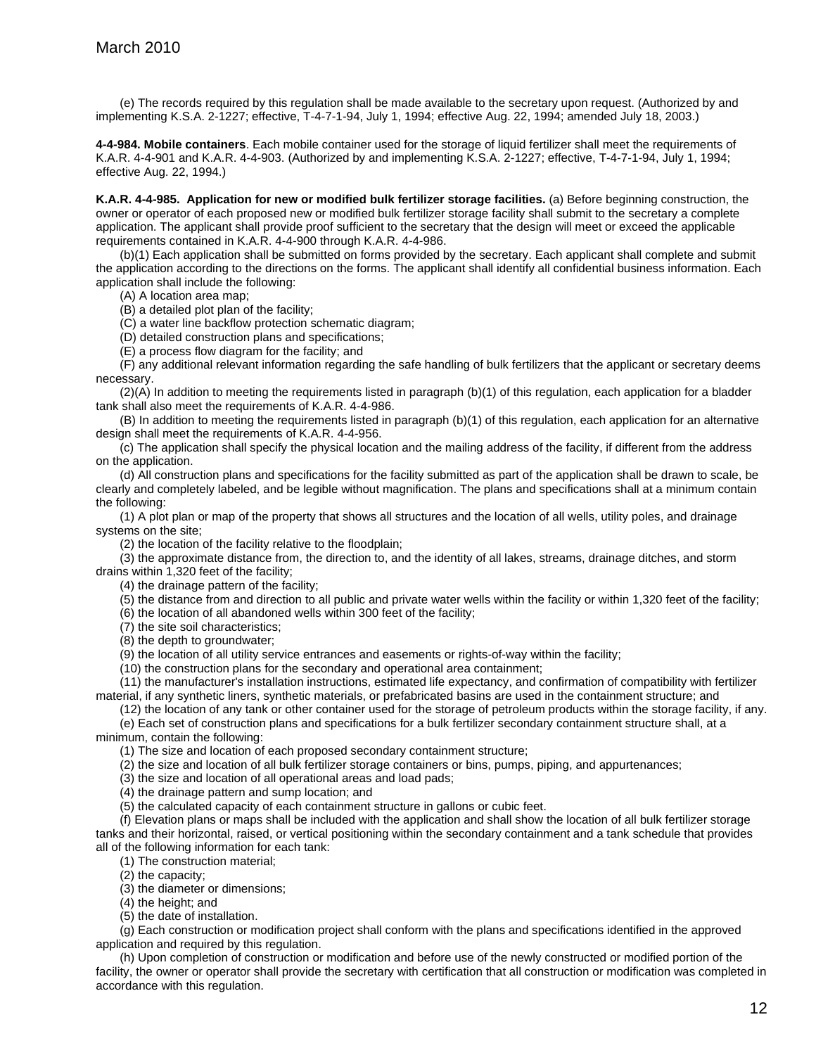(e) The records required by this regulation shall be made available to the secretary upon request. (Authorized by and implementing K.S.A. 2-1227; effective, T-4-7-1-94, July 1, 1994; effective Aug. 22, 1994; amended July 18, 2003.)

**4-4-984. Mobile containers**. Each mobile container used for the storage of liquid fertilizer shall meet the requirements of K.A.R. 4-4-901 and K.A.R. 4-4-903. (Authorized by and implementing K.S.A. 2-1227; effective, T-4-7-1-94, July 1, 1994; effective Aug. 22, 1994.)

**K.A.R. 4-4-985. Application for new or modified bulk fertilizer storage facilities.** (a) Before beginning construction, the owner or operator of each proposed new or modified bulk fertilizer storage facility shall submit to the secretary a complete application. The applicant shall provide proof sufficient to the secretary that the design will meet or exceed the applicable requirements contained in K.A.R. 4-4-900 through K.A.R. 4-4-986.

(b)(1) Each application shall be submitted on forms provided by the secretary. Each applicant shall complete and submit the application according to the directions on the forms. The applicant shall identify all confidential business information. Each application shall include the following:

(A) A location area map;

(B) a detailed plot plan of the facility;

(C) a water line backflow protection schematic diagram;

(D) detailed construction plans and specifications;

(E) a process flow diagram for the facility; and

(F) any additional relevant information regarding the safe handling of bulk fertilizers that the applicant or secretary deems necessary.

 $(2)(A)$  In addition to meeting the requirements listed in paragraph  $(b)(1)$  of this regulation, each application for a bladder tank shall also meet the requirements of K.A.R. 4-4-986.

(B) In addition to meeting the requirements listed in paragraph (b)(1) of this regulation, each application for an alternative design shall meet the requirements of K.A.R. 4-4-956.

(c) The application shall specify the physical location and the mailing address of the facility, if different from the address on the application.

(d) All construction plans and specifications for the facility submitted as part of the application shall be drawn to scale, be clearly and completely labeled, and be legible without magnification. The plans and specifications shall at a minimum contain the following:

(1) A plot plan or map of the property that shows all structures and the location of all wells, utility poles, and drainage systems on the site;

(2) the location of the facility relative to the floodplain;

(3) the approximate distance from, the direction to, and the identity of all lakes, streams, drainage ditches, and storm drains within 1,320 feet of the facility;

(4) the drainage pattern of the facility;

(5) the distance from and direction to all public and private water wells within the facility or within 1,320 feet of the facility;

(6) the location of all abandoned wells within 300 feet of the facility;

(7) the site soil characteristics;

(8) the depth to groundwater;

(9) the location of all utility service entrances and easements or rights-of-way within the facility;

(10) the construction plans for the secondary and operational area containment;

(11) the manufacturer's installation instructions, estimated life expectancy, and confirmation of compatibility with fertilizer material, if any synthetic liners, synthetic materials, or prefabricated basins are used in the containment structure; and

(12) the location of any tank or other container used for the storage of petroleum products within the storage facility, if any. (e) Each set of construction plans and specifications for a bulk fertilizer secondary containment structure shall, at a minimum, contain the following:

(1) The size and location of each proposed secondary containment structure;

(2) the size and location of all bulk fertilizer storage containers or bins, pumps, piping, and appurtenances;

(3) the size and location of all operational areas and load pads;

(4) the drainage pattern and sump location; and

(5) the calculated capacity of each containment structure in gallons or cubic feet.

(f) Elevation plans or maps shall be included with the application and shall show the location of all bulk fertilizer storage tanks and their horizontal, raised, or vertical positioning within the secondary containment and a tank schedule that provides all of the following information for each tank:

(1) The construction material;

(2) the capacity;

(3) the diameter or dimensions;

(4) the height; and

(5) the date of installation.

(g) Each construction or modification project shall conform with the plans and specifications identified in the approved application and required by this regulation.

(h) Upon completion of construction or modification and before use of the newly constructed or modified portion of the facility, the owner or operator shall provide the secretary with certification that all construction or modification was completed in accordance with this regulation.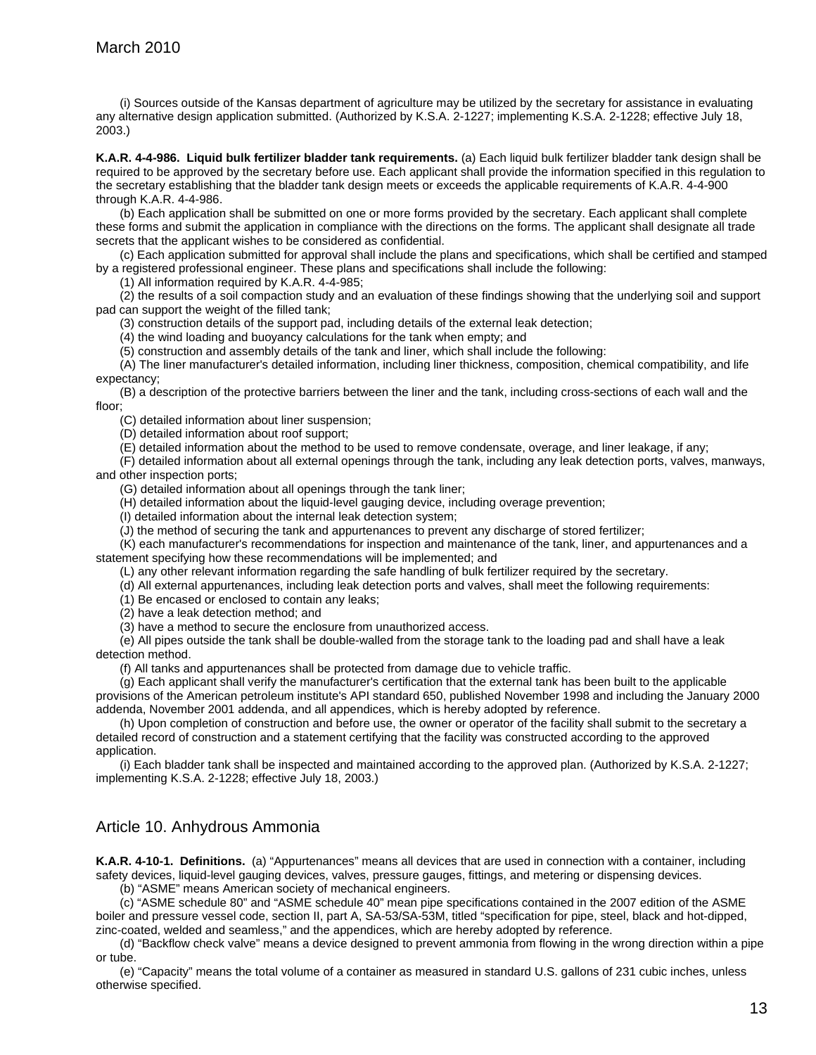(i) Sources outside of the Kansas department of agriculture may be utilized by the secretary for assistance in evaluating any alternative design application submitted. (Authorized by K.S.A. 2-1227; implementing K.S.A. 2-1228; effective July 18, 2003.)

**K.A.R. 4-4-986. Liquid bulk fertilizer bladder tank requirements.** (a) Each liquid bulk fertilizer bladder tank design shall be required to be approved by the secretary before use. Each applicant shall provide the information specified in this regulation to the secretary establishing that the bladder tank design meets or exceeds the applicable requirements of K.A.R. 4-4-900 through K.A.R. 4-4-986.

(b) Each application shall be submitted on one or more forms provided by the secretary. Each applicant shall complete these forms and submit the application in compliance with the directions on the forms. The applicant shall designate all trade secrets that the applicant wishes to be considered as confidential.

(c) Each application submitted for approval shall include the plans and specifications, which shall be certified and stamped by a registered professional engineer. These plans and specifications shall include the following:

(1) All information required by K.A.R. 4-4-985;

(2) the results of a soil compaction study and an evaluation of these findings showing that the underlying soil and support pad can support the weight of the filled tank;

(3) construction details of the support pad, including details of the external leak detection;

(4) the wind loading and buoyancy calculations for the tank when empty; and

(5) construction and assembly details of the tank and liner, which shall include the following:

(A) The liner manufacturer's detailed information, including liner thickness, composition, chemical compatibility, and life expectancy;

(B) a description of the protective barriers between the liner and the tank, including cross-sections of each wall and the floor;

(C) detailed information about liner suspension;

(D) detailed information about roof support;

(E) detailed information about the method to be used to remove condensate, overage, and liner leakage, if any;

(F) detailed information about all external openings through the tank, including any leak detection ports, valves, manways, and other inspection ports;

(G) detailed information about all openings through the tank liner;

(H) detailed information about the liquid-level gauging device, including overage prevention;

(I) detailed information about the internal leak detection system;

(J) the method of securing the tank and appurtenances to prevent any discharge of stored fertilizer;

(K) each manufacturer's recommendations for inspection and maintenance of the tank, liner, and appurtenances and a statement specifying how these recommendations will be implemented; and

(L) any other relevant information regarding the safe handling of bulk fertilizer required by the secretary.

(d) All external appurtenances, including leak detection ports and valves, shall meet the following requirements:

(1) Be encased or enclosed to contain any leaks;

(2) have a leak detection method; and

(3) have a method to secure the enclosure from unauthorized access.

(e) All pipes outside the tank shall be double-walled from the storage tank to the loading pad and shall have a leak detection method.

(f) All tanks and appurtenances shall be protected from damage due to vehicle traffic.

(g) Each applicant shall verify the manufacturer's certification that the external tank has been built to the applicable provisions of the American petroleum institute's API standard 650, published November 1998 and including the January 2000 addenda, November 2001 addenda, and all appendices, which is hereby adopted by reference.

(h) Upon completion of construction and before use, the owner or operator of the facility shall submit to the secretary a detailed record of construction and a statement certifying that the facility was constructed according to the approved application.

(i) Each bladder tank shall be inspected and maintained according to the approved plan. (Authorized by K.S.A. 2-1227; implementing K.S.A. 2-1228; effective July 18, 2003.)

### Article 10. Anhydrous Ammonia

**K.A.R. 4-10-1. Definitions.** (a) "Appurtenances" means all devices that are used in connection with a container, including safety devices, liquid-level gauging devices, valves, pressure gauges, fittings, and metering or dispensing devices.

(b) "ASME" means American society of mechanical engineers.

(c) "ASME schedule 80" and "ASME schedule 40" mean pipe specifications contained in the 2007 edition of the ASME boiler and pressure vessel code, section II, part A, SA-53/SA-53M, titled "specification for pipe, steel, black and hot-dipped, zinc-coated, welded and seamless," and the appendices, which are hereby adopted by reference.

(d) "Backflow check valve" means a device designed to prevent ammonia from flowing in the wrong direction within a pipe or tube.

(e) "Capacity" means the total volume of a container as measured in standard U.S. gallons of 231 cubic inches, unless otherwise specified.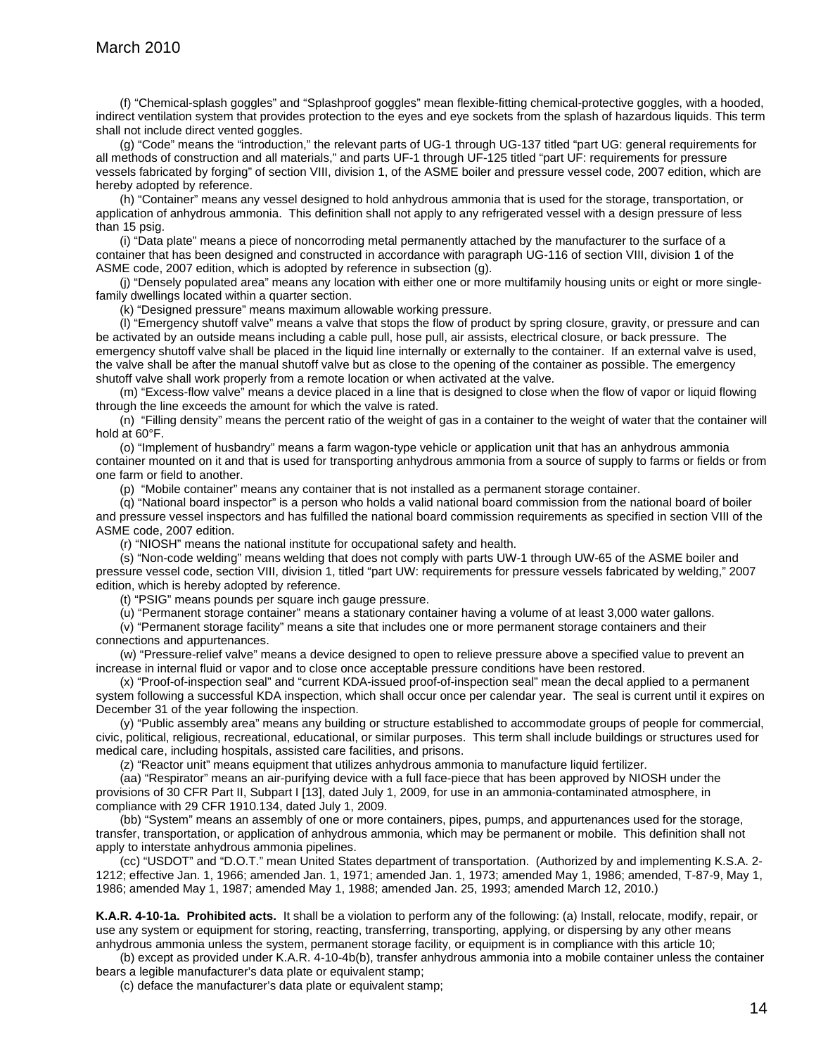(f) "Chemical-splash goggles" and "Splashproof goggles" mean flexible-fitting chemical-protective goggles, with a hooded, indirect ventilation system that provides protection to the eyes and eye sockets from the splash of hazardous liquids. This term shall not include direct vented goggles.

(g) "Code" means the "introduction," the relevant parts of UG-1 through UG-137 titled "part UG: general requirements for all methods of construction and all materials," and parts UF-1 through UF-125 titled "part UF: requirements for pressure vessels fabricated by forging" of section VIII, division 1, of the ASME boiler and pressure vessel code, 2007 edition, which are hereby adopted by reference.

(h) "Container" means any vessel designed to hold anhydrous ammonia that is used for the storage, transportation, or application of anhydrous ammonia. This definition shall not apply to any refrigerated vessel with a design pressure of less than 15 psig.

(i) "Data plate" means a piece of noncorroding metal permanently attached by the manufacturer to the surface of a container that has been designed and constructed in accordance with paragraph UG-116 of section VIII, division 1 of the ASME code, 2007 edition, which is adopted by reference in subsection (g).

(j) "Densely populated area" means any location with either one or more multifamily housing units or eight or more singlefamily dwellings located within a quarter section.

(k) "Designed pressure" means maximum allowable working pressure.

(l) "Emergency shutoff valve" means a valve that stops the flow of product by spring closure, gravity, or pressure and can be activated by an outside means including a cable pull, hose pull, air assists, electrical closure, or back pressure. The emergency shutoff valve shall be placed in the liquid line internally or externally to the container. If an external valve is used, the valve shall be after the manual shutoff valve but as close to the opening of the container as possible. The emergency shutoff valve shall work properly from a remote location or when activated at the valve.

(m) "Excess-flow valve" means a device placed in a line that is designed to close when the flow of vapor or liquid flowing through the line exceeds the amount for which the valve is rated.

(n) "Filling density" means the percent ratio of the weight of gas in a container to the weight of water that the container will hold at 60°F.

(o) "Implement of husbandry" means a farm wagon-type vehicle or application unit that has an anhydrous ammonia container mounted on it and that is used for transporting anhydrous ammonia from a source of supply to farms or fields or from one farm or field to another.

(p)"Mobile container" means any container that is not installed as a permanent storage container.

(q) "National board inspector" is a person who holds a valid national board commission from the national board of boiler and pressure vessel inspectors and has fulfilled the national board commission requirements as specified in section VIII of the ASME code, 2007 edition.

(r) "NIOSH" means the national institute for occupational safety and health.

(s) "Non-code welding" means welding that does not comply with parts UW-1 through UW-65 of the ASME boiler and pressure vessel code, section VIII, division 1, titled "part UW: requirements for pressure vessels fabricated by welding," 2007 edition, which is hereby adopted by reference.

(t) "PSIG" means pounds per square inch gauge pressure.

(u) "Permanent storage container" means a stationary container having a volume of at least 3,000 water gallons.

(v) "Permanent storage facility" means a site that includes one or more permanent storage containers and their connections and appurtenances.

(w) "Pressure-relief valve" means a device designed to open to relieve pressure above a specified value to prevent an increase in internal fluid or vapor and to close once acceptable pressure conditions have been restored.

(x) "Proof-of-inspection seal" and "current KDA-issued proof-of-inspection seal" mean the decal applied to a permanent system following a successful KDA inspection, which shall occur once per calendar year. The seal is current until it expires on December 31 of the year following the inspection.

(y) "Public assembly area" means any building or structure established to accommodate groups of people for commercial, civic, political, religious, recreational, educational, or similar purposes. This term shall include buildings or structures used for medical care, including hospitals, assisted care facilities, and prisons.

(z) "Reactor unit" means equipment that utilizes anhydrous ammonia to manufacture liquid fertilizer.

(aa) "Respirator" means an air-purifying device with a full face-piece that has been approved by NIOSH under the provisions of 30 CFR Part II, Subpart I [13], dated July 1, 2009, for use in an ammonia-contaminated atmosphere, in compliance with 29 CFR 1910.134, dated July 1, 2009.

(bb) "System" means an assembly of one or more containers, pipes, pumps, and appurtenances used for the storage, transfer, transportation, or application of anhydrous ammonia, which may be permanent or mobile. This definition shall not apply to interstate anhydrous ammonia pipelines.

(cc) "USDOT" and "D.O.T." mean United States department of transportation. (Authorized by and implementing K.S.A. 2- 1212; effective Jan. 1, 1966; amended Jan. 1, 1971; amended Jan. 1, 1973; amended May 1, 1986; amended, T-87-9, May 1, 1986; amended May 1, 1987; amended May 1, 1988; amended Jan. 25, 1993; amended March 12, 2010.)

**K.A.R. 4-10-1a. Prohibited acts.** It shall be a violation to perform any of the following: (a) Install, relocate, modify, repair, or use any system or equipment for storing, reacting, transferring, transporting, applying, or dispersing by any other means anhydrous ammonia unless the system, permanent storage facility, or equipment is in compliance with this article 10;

(b) except as provided under K.A.R. 4-10-4b(b), transfer anhydrous ammonia into a mobile container unless the container bears a legible manufacturer's data plate or equivalent stamp;

(c) deface the manufacturer's data plate or equivalent stamp;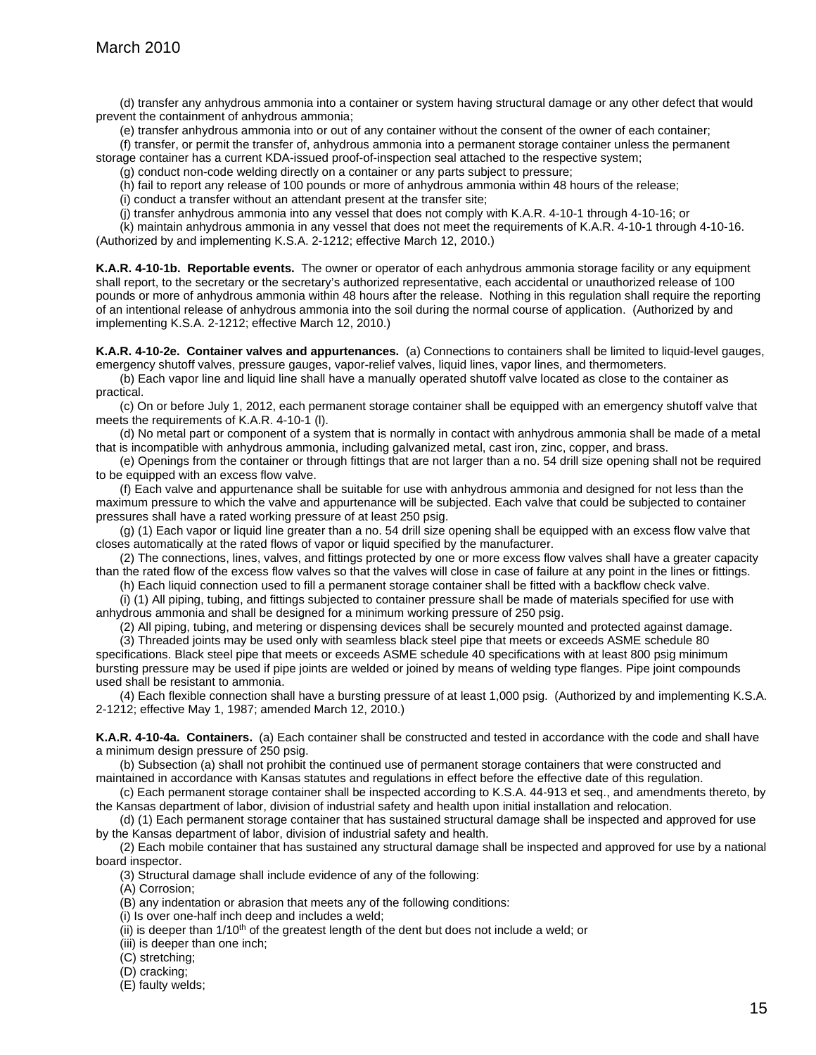(d) transfer any anhydrous ammonia into a container or system having structural damage or any other defect that would prevent the containment of anhydrous ammonia;

(e) transfer anhydrous ammonia into or out of any container without the consent of the owner of each container;

(f) transfer, or permit the transfer of, anhydrous ammonia into a permanent storage container unless the permanent storage container has a current KDA-issued proof-of-inspection seal attached to the respective system;

(g) conduct non-code welding directly on a container or any parts subject to pressure;

(h) fail to report any release of 100 pounds or more of anhydrous ammonia within 48 hours of the release;

(i) conduct a transfer without an attendant present at the transfer site;

(j) transfer anhydrous ammonia into any vessel that does not comply with K.A.R. 4-10-1 through 4-10-16; or

(k) maintain anhydrous ammonia in any vessel that does not meet the requirements of K.A.R. 4-10-1 through 4-10-16. (Authorized by and implementing K.S.A. 2-1212; effective March 12, 2010.)

**K.A.R. 4-10-1b. Reportable events.** The owner or operator of each anhydrous ammonia storage facility or any equipment shall report, to the secretary or the secretary's authorized representative, each accidental or unauthorized release of 100 pounds or more of anhydrous ammonia within 48 hours after the release. Nothing in this regulation shall require the reporting of an intentional release of anhydrous ammonia into the soil during the normal course of application. (Authorized by and implementing K.S.A. 2-1212; effective March 12, 2010.)

**K.A.R. 4-10-2e. Container valves and appurtenances.** (a) Connections to containers shall be limited to liquid-level gauges, emergency shutoff valves, pressure gauges, vapor-relief valves, liquid lines, vapor lines, and thermometers.

(b) Each vapor line and liquid line shall have a manually operated shutoff valve located as close to the container as practical.

(c) On or before July 1, 2012, each permanent storage container shall be equipped with an emergency shutoff valve that meets the requirements of K.A.R. 4-10-1 (l).

(d) No metal part or component of a system that is normally in contact with anhydrous ammonia shall be made of a metal that is incompatible with anhydrous ammonia, including galvanized metal, cast iron, zinc, copper, and brass.

(e) Openings from the container or through fittings that are not larger than a no. 54 drill size opening shall not be required to be equipped with an excess flow valve.

(f) Each valve and appurtenance shall be suitable for use with anhydrous ammonia and designed for not less than the maximum pressure to which the valve and appurtenance will be subjected. Each valve that could be subjected to container pressures shall have a rated working pressure of at least 250 psig.

(g) (1) Each vapor or liquid line greater than a no. 54 drill size opening shall be equipped with an excess flow valve that closes automatically at the rated flows of vapor or liquid specified by the manufacturer.

(2) The connections, lines, valves, and fittings protected by one or more excess flow valves shall have a greater capacity than the rated flow of the excess flow valves so that the valves will close in case of failure at any point in the lines or fittings. (h) Each liquid connection used to fill a permanent storage container shall be fitted with a backflow check valve.

(i) (1) All piping, tubing, and fittings subjected to container pressure shall be made of materials specified for use with anhydrous ammonia and shall be designed for a minimum working pressure of 250 psig.

(2) All piping, tubing, and metering or dispensing devices shall be securely mounted and protected against damage.

(3) Threaded joints may be used only with seamless black steel pipe that meets or exceeds ASME schedule 80 specifications. Black steel pipe that meets or exceeds ASME schedule 40 specifications with at least 800 psig minimum bursting pressure may be used if pipe joints are welded or joined by means of welding type flanges. Pipe joint compounds used shall be resistant to ammonia.

(4) Each flexible connection shall have a bursting pressure of at least 1,000 psig. (Authorized by and implementing K.S.A. 2-1212; effective May 1, 1987; amended March 12, 2010.)

**K.A.R. 4-10-4a. Containers.** (a) Each container shall be constructed and tested in accordance with the code and shall have a minimum design pressure of 250 psig.

(b) Subsection (a) shall not prohibit the continued use of permanent storage containers that were constructed and maintained in accordance with Kansas statutes and regulations in effect before the effective date of this regulation.

(c) Each permanent storage container shall be inspected according to K.S.A. 44-913 et seq., and amendments thereto, by the Kansas department of labor, division of industrial safety and health upon initial installation and relocation.

(d) (1) Each permanent storage container that has sustained structural damage shall be inspected and approved for use by the Kansas department of labor, division of industrial safety and health.

(2) Each mobile container that has sustained any structural damage shall be inspected and approved for use by a national board inspector.

(3) Structural damage shall include evidence of any of the following:

(A) Corrosion;

(B) any indentation or abrasion that meets any of the following conditions:

(i) Is over one-half inch deep and includes a weld;

 $(iii)$  is deeper than  $1/10<sup>th</sup>$  of the greatest length of the dent but does not include a weld; or

(iii) is deeper than one inch;

(C) stretching;

(D) cracking;

(E) faulty welds;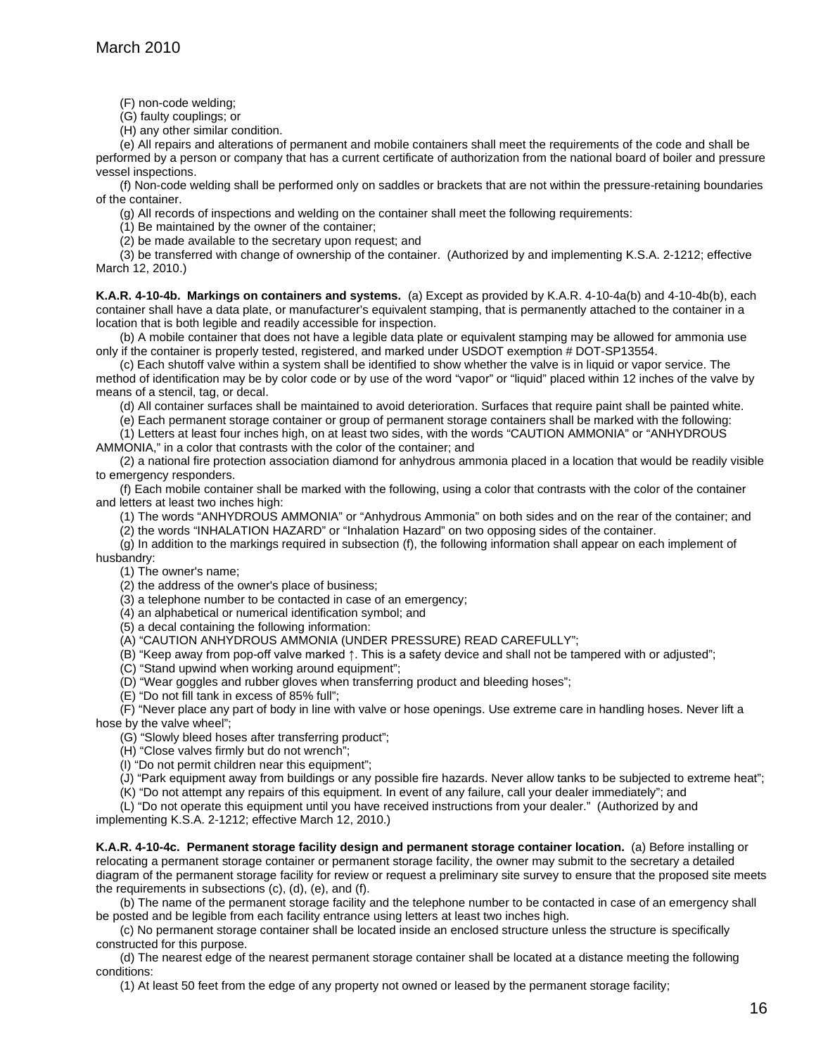(F) non-code welding;

(G) faulty couplings; or

(H) any other similar condition.

(e) All repairs and alterations of permanent and mobile containers shall meet the requirements of the code and shall be performed by a person or company that has a current certificate of authorization from the national board of boiler and pressure vessel inspections.

(f) Non-code welding shall be performed only on saddles or brackets that are not within the pressure-retaining boundaries of the container.

(g) All records of inspections and welding on the container shall meet the following requirements:

(1) Be maintained by the owner of the container;

(2) be made available to the secretary upon request; and

(3) be transferred with change of ownership of the container.(Authorized by and implementing K.S.A. 2-1212; effective March 12, 2010.)

**K.A.R. 4-10-4b. Markings on containers and systems.** (a) Except as provided by K.A.R. 4-10-4a(b) and 4-10-4b(b), each container shall have a data plate, or manufacturer's equivalent stamping, that is permanently attached to the container in a location that is both legible and readily accessible for inspection.

(b) A mobile container that does not have a legible data plate or equivalent stamping may be allowed for ammonia use only if the container is properly tested, registered, and marked under USDOT exemption # DOT-SP13554.

(c) Each shutoff valve within a system shall be identified to show whether the valve is in liquid or vapor service. The method of identification may be by color code or by use of the word "vapor" or "liquid" placed within 12 inches of the valve by means of a stencil, tag, or decal.

(d) All container surfaces shall be maintained to avoid deterioration. Surfaces that require paint shall be painted white.

(e) Each permanent storage container or group of permanent storage containers shall be marked with the following:

(1) Letters at least four inches high, on at least two sides, with the words "CAUTION AMMONIA" or "ANHYDROUS AMMONIA," in a color that contrasts with the color of the container; and

(2) a national fire protection association diamond for anhydrous ammonia placed in a location that would be readily visible to emergency responders.

(f) Each mobile container shall be marked with the following, using a color that contrasts with the color of the container and letters at least two inches high:

(1) The words "ANHYDROUS AMMONIA" or "Anhydrous Ammonia" on both sides and on the rear of the container; and

(2) the words "INHALATION HAZARD" or "Inhalation Hazard" on two opposing sides of the container.

(g) In addition to the markings required in subsection (f), the following information shall appear on each implement of husbandry:

(1) The owner's name;

(2) the address of the owner's place of business;

(3) a telephone number to be contacted in case of an emergency;

(4) an alphabetical or numerical identification symbol; and

(5) a decal containing the following information:

(A) "CAUTION ANHYDROUS AMMONIA (UNDER PRESSURE) READ CAREFULLY";

(B) "Keep away from pop-off valve marked ↑. This is a safety device and shall not be tampered with or adjusted";

(C) "Stand upwind when working around equipment";

(D) "Wear goggles and rubber gloves when transferring product and bleeding hoses";

(E) "Do not fill tank in excess of 85% full";

(F) "Never place any part of body in line with valve or hose openings. Use extreme care in handling hoses. Never lift a hose by the valve wheel";

(G) "Slowly bleed hoses after transferring product";

(H) "Close valves firmly but do not wrench";

(I) "Do not permit children near this equipment";

(J) "Park equipment away from buildings or any possible fire hazards. Never allow tanks to be subjected to extreme heat";

(K) "Do not attempt any repairs of this equipment. In event of any failure, call your dealer immediately"; and

(L) "Do not operate this equipment until you have received instructions from your dealer." (Authorized by and implementing K.S.A. 2-1212; effective March 12, 2010.)

**K.A.R. 4-10-4c. Permanent storage facility design and permanent storage container location.** (a) Before installing or relocating a permanent storage container or permanent storage facility, the owner may submit to the secretary a detailed diagram of the permanent storage facility for review or request a preliminary site survey to ensure that the proposed site meets the requirements in subsections (c), (d), (e), and (f).

(b) The name of the permanent storage facility and the telephone number to be contacted in case of an emergency shall be posted and be legible from each facility entrance using letters at least two inches high.

(c) No permanent storage container shall be located inside an enclosed structure unless the structure is specifically constructed for this purpose.

(d) The nearest edge of the nearest permanent storage container shall be located at a distance meeting the following conditions:

(1) At least 50 feet from the edge of any property not owned or leased by the permanent storage facility;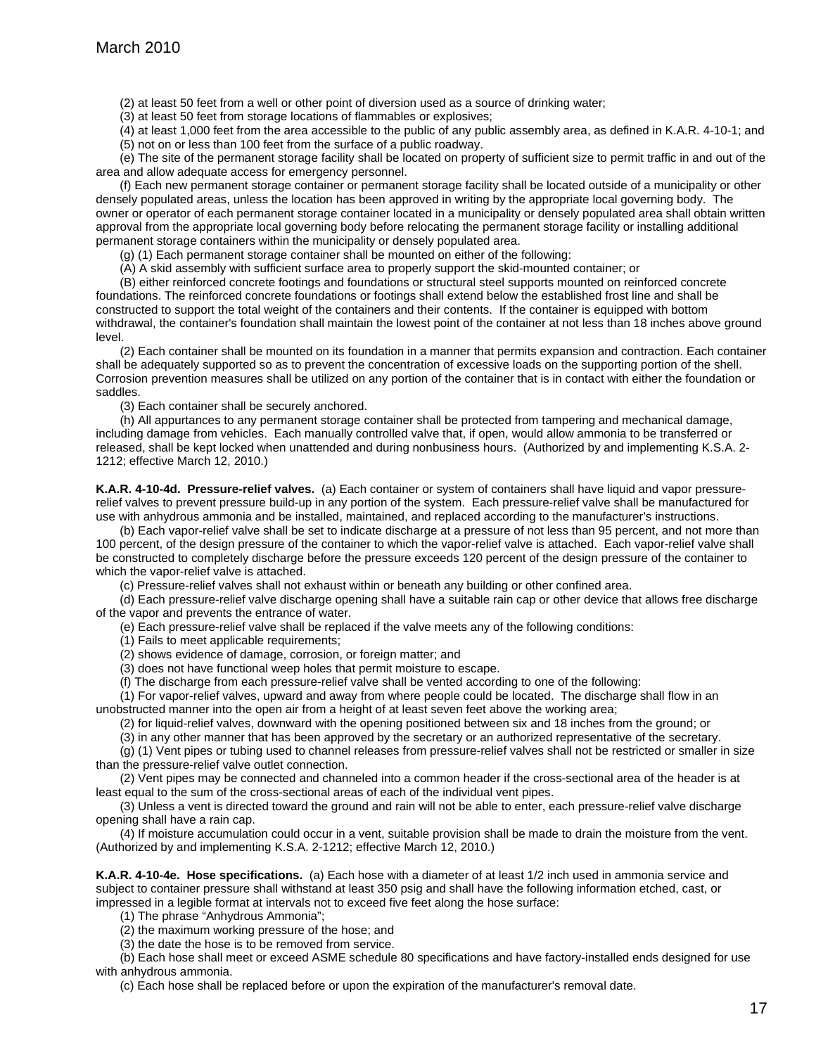(2) at least 50 feet from a well or other point of diversion used as a source of drinking water;

(3) at least 50 feet from storage locations of flammables or explosives;

(4) at least 1,000 feet from the area accessible to the public of any public assembly area, as defined in K.A.R. 4-10-1; and (5) not on or less than 100 feet from the surface of a public roadway.

(e) The site of the permanent storage facility shall be located on property of sufficient size to permit traffic in and out of the area and allow adequate access for emergency personnel.

(f) Each new permanent storage container or permanent storage facility shall be located outside of a municipality or other densely populated areas, unless the location has been approved in writing by the appropriate local governing body. The owner or operator of each permanent storage container located in a municipality or densely populated area shall obtain written approval from the appropriate local governing body before relocating the permanent storage facility or installing additional permanent storage containers within the municipality or densely populated area.

(g) (1) Each permanent storage container shall be mounted on either of the following:

(A) A skid assembly with sufficient surface area to properly support the skid-mounted container; or

(B) either reinforced concrete footings and foundations or structural steel supports mounted on reinforced concrete foundations. The reinforced concrete foundations or footings shall extend below the established frost line and shall be constructed to support the total weight of the containers and their contents. If the container is equipped with bottom withdrawal, the container's foundation shall maintain the lowest point of the container at not less than 18 inches above ground level.

(2) Each container shall be mounted on its foundation in a manner that permits expansion and contraction. Each container shall be adequately supported so as to prevent the concentration of excessive loads on the supporting portion of the shell. Corrosion prevention measures shall be utilized on any portion of the container that is in contact with either the foundation or saddles.

(3) Each container shall be securely anchored.

(h) All appurtances to any permanent storage container shall be protected from tampering and mechanical damage, including damage from vehicles. Each manually controlled valve that, if open, would allow ammonia to be transferred or released, shall be kept locked when unattended and during nonbusiness hours. (Authorized by and implementing K.S.A. 2- 1212; effective March 12, 2010.)

**K.A.R. 4-10-4d. Pressure-relief valves.** (a) Each container or system of containers shall have liquid and vapor pressurerelief valves to prevent pressure build-up in any portion of the system. Each pressure-relief valve shall be manufactured for use with anhydrous ammonia and be installed, maintained, and replaced according to the manufacturer's instructions.

(b) Each vapor-relief valve shall be set to indicate discharge at a pressure of not less than 95 percent, and not more than 100 percent, of the design pressure of the container to which the vapor-relief valve is attached. Each vapor-relief valve shall be constructed to completely discharge before the pressure exceeds 120 percent of the design pressure of the container to which the vapor-relief valve is attached.

(c) Pressure-relief valves shall not exhaust within or beneath any building or other confined area.

(d) Each pressure-relief valve discharge opening shall have a suitable rain cap or other device that allows free discharge of the vapor and prevents the entrance of water.

(e) Each pressure-relief valve shall be replaced if the valve meets any of the following conditions:

(1) Fails to meet applicable requirements;

(2) shows evidence of damage, corrosion, or foreign matter; and

(3) does not have functional weep holes that permit moisture to escape.

(f) The discharge from each pressure-relief valve shall be vented according to one of the following:

(1) For vapor-relief valves, upward and away from where people could be located. The discharge shall flow in an unobstructed manner into the open air from a height of at least seven feet above the working area;

(2) for liquid-relief valves, downward with the opening positioned between six and 18 inches from the ground; or

(3) in any other manner that has been approved by the secretary or an authorized representative of the secretary.

(g) (1) Vent pipes or tubing used to channel releases from pressure-relief valves shall not be restricted or smaller in size than the pressure-relief valve outlet connection.

(2) Vent pipes may be connected and channeled into a common header if the cross-sectional area of the header is at least equal to the sum of the cross-sectional areas of each of the individual vent pipes.

(3) Unless a vent is directed toward the ground and rain will not be able to enter, each pressure-relief valve discharge opening shall have a rain cap.

(4) If moisture accumulation could occur in a vent, suitable provision shall be made to drain the moisture from the vent. (Authorized by and implementing K.S.A. 2-1212; effective March 12, 2010.)

**K.A.R. 4-10-4e. Hose specifications.** (a) Each hose with a diameter of at least 1/2 inch used in ammonia service and subject to container pressure shall withstand at least 350 psig and shall have the following information etched, cast, or impressed in a legible format at intervals not to exceed five feet along the hose surface:

(1) The phrase "Anhydrous Ammonia";

(2) the maximum working pressure of the hose; and

(3) the date the hose is to be removed from service.

(b) Each hose shall meet or exceed ASME schedule 80 specifications and have factory-installed ends designed for use with anhydrous ammonia.

(c) Each hose shall be replaced before or upon the expiration of the manufacturer's removal date.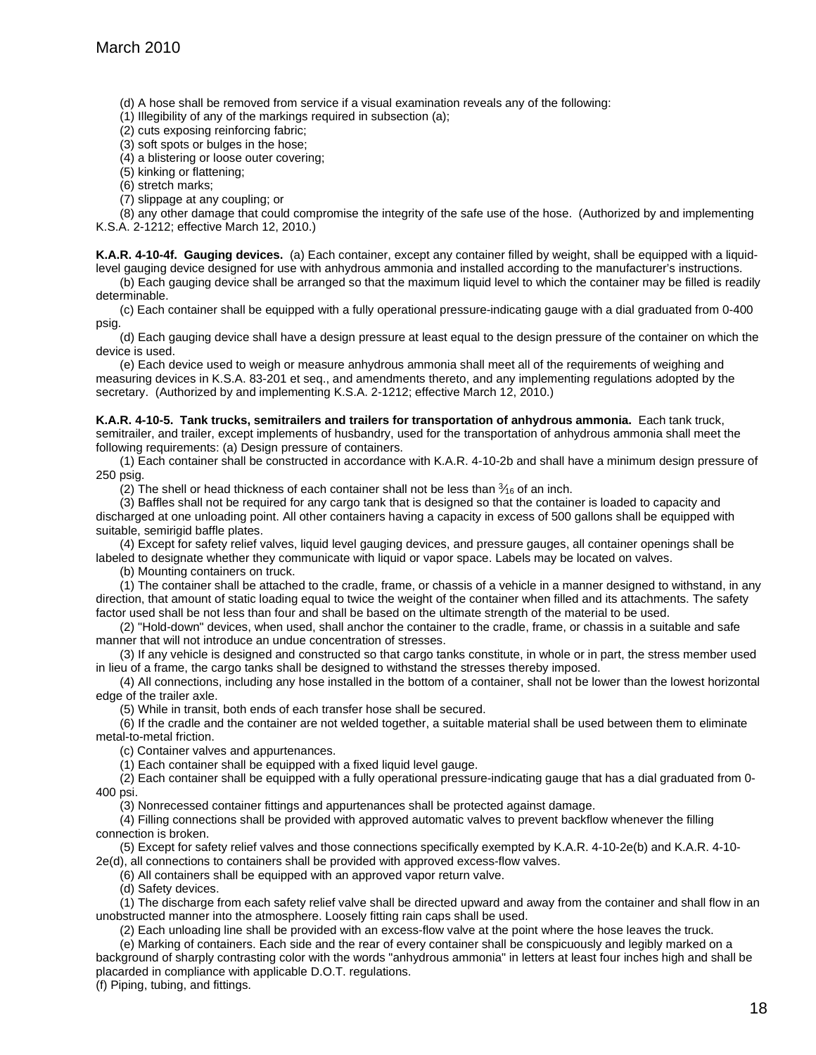(d) A hose shall be removed from service if a visual examination reveals any of the following:

(1) Illegibility of any of the markings required in subsection (a);

(2) cuts exposing reinforcing fabric;

(3) soft spots or bulges in the hose;

(4) a blistering or loose outer covering;

(5) kinking or flattening;

(6) stretch marks;

(7) slippage at any coupling; or

(8) any other damage that could compromise the integrity of the safe use of the hose. (Authorized by and implementing K.S.A. 2-1212; effective March 12, 2010.)

**K.A.R. 4-10-4f. Gauging devices.** (a) Each container, except any container filled by weight, shall be equipped with a liquidlevel gauging device designed for use with anhydrous ammonia and installed according to the manufacturer's instructions.

(b) Each gauging device shall be arranged so that the maximum liquid level to which the container may be filled is readily determinable.

(c) Each container shall be equipped with a fully operational pressure-indicating gauge with a dial graduated from 0-400 psig.

(d) Each gauging device shall have a design pressure at least equal to the design pressure of the container on which the device is used.

(e) Each device used to weigh or measure anhydrous ammonia shall meet all of the requirements of weighing and measuring devices in K.S.A. 83-201 et seq., and amendments thereto, and any implementing regulations adopted by the secretary. (Authorized by and implementing K.S.A. 2-1212; effective March 12, 2010.)

**K.A.R. 4-10-5. Tank trucks, semitrailers and trailers for transportation of anhydrous ammonia.** Each tank truck, semitrailer, and trailer, except implements of husbandry, used for the transportation of anhydrous ammonia shall meet the following requirements: (a) Design pressure of containers.

(1) Each container shall be constructed in accordance with K.A.R. 4-10-2b and shall have a minimum design pressure of 250 psig.

(2) The shell or head thickness of each container shall not be less than  $\frac{3}{16}$  of an inch.

(3) Baffles shall not be required for any cargo tank that is designed so that the container is loaded to capacity and discharged at one unloading point. All other containers having a capacity in excess of 500 gallons shall be equipped with suitable, semirigid baffle plates.

(4) Except for safety relief valves, liquid level gauging devices, and pressure gauges, all container openings shall be labeled to designate whether they communicate with liquid or vapor space. Labels may be located on valves.

(b) Mounting containers on truck.

(1) The container shall be attached to the cradle, frame, or chassis of a vehicle in a manner designed to withstand, in any direction, that amount of static loading equal to twice the weight of the container when filled and its attachments. The safety factor used shall be not less than four and shall be based on the ultimate strength of the material to be used.

(2) "Hold-down" devices, when used, shall anchor the container to the cradle, frame, or chassis in a suitable and safe manner that will not introduce an undue concentration of stresses.

(3) If any vehicle is designed and constructed so that cargo tanks constitute, in whole or in part, the stress member used in lieu of a frame, the cargo tanks shall be designed to withstand the stresses thereby imposed.

(4) All connections, including any hose installed in the bottom of a container, shall not be lower than the lowest horizontal edge of the trailer axle.

(5) While in transit, both ends of each transfer hose shall be secured.

(6) If the cradle and the container are not welded together, a suitable material shall be used between them to eliminate metal-to-metal friction.

(c) Container valves and appurtenances.

(1) Each container shall be equipped with a fixed liquid level gauge.

(2) Each container shall be equipped with a fully operational pressure-indicating gauge that has a dial graduated from 0- 400 psi.

(3) Nonrecessed container fittings and appurtenances shall be protected against damage.

(4) Filling connections shall be provided with approved automatic valves to prevent backflow whenever the filling connection is broken.

(5) Except for safety relief valves and those connections specifically exempted by K.A.R. 4-10-2e(b) and K.A.R. 4-10- 2e(d), all connections to containers shall be provided with approved excess-flow valves.

(6) All containers shall be equipped with an approved vapor return valve.

(d) Safety devices.

(1) The discharge from each safety relief valve shall be directed upward and away from the container and shall flow in an unobstructed manner into the atmosphere. Loosely fitting rain caps shall be used.

(2) Each unloading line shall be provided with an excess-flow valve at the point where the hose leaves the truck.

(e) Marking of containers. Each side and the rear of every container shall be conspicuously and legibly marked on a background of sharply contrasting color with the words "anhydrous ammonia" in letters at least four inches high and shall be placarded in compliance with applicable D.O.T. regulations.

(f) Piping, tubing, and fittings.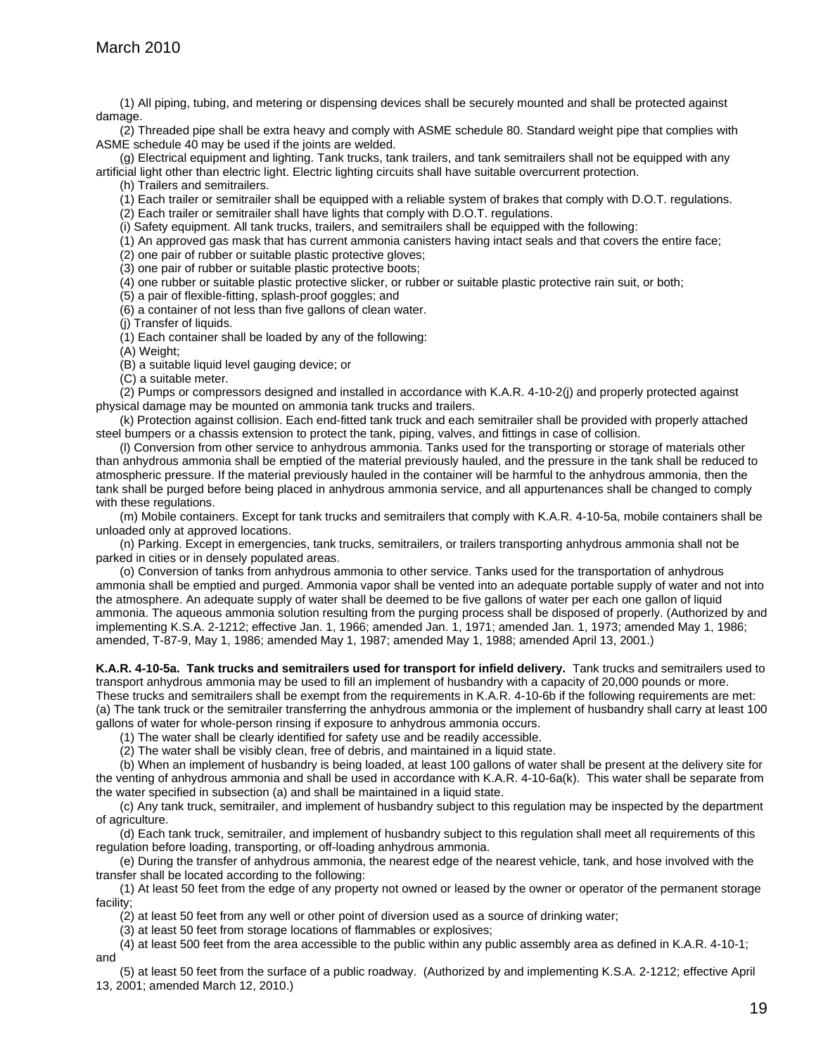(1) All piping, tubing, and metering or dispensing devices shall be securely mounted and shall be protected against damage.

(2) Threaded pipe shall be extra heavy and comply with ASME schedule 80. Standard weight pipe that complies with ASME schedule 40 may be used if the joints are welded.

(g) Electrical equipment and lighting. Tank trucks, tank trailers, and tank semitrailers shall not be equipped with any artificial light other than electric light. Electric lighting circuits shall have suitable overcurrent protection.

(h) Trailers and semitrailers.

(1) Each trailer or semitrailer shall be equipped with a reliable system of brakes that comply with D.O.T. regulations.

(2) Each trailer or semitrailer shall have lights that comply with D.O.T. regulations.

(i) Safety equipment. All tank trucks, trailers, and semitrailers shall be equipped with the following:

(1) An approved gas mask that has current ammonia canisters having intact seals and that covers the entire face;

(2) one pair of rubber or suitable plastic protective gloves;

(3) one pair of rubber or suitable plastic protective boots;

(4) one rubber or suitable plastic protective slicker, or rubber or suitable plastic protective rain suit, or both;

(5) a pair of flexible-fitting, splash-proof goggles; and

(6) a container of not less than five gallons of clean water.

(j) Transfer of liquids.

(1) Each container shall be loaded by any of the following:

(A) Weight;

(B) a suitable liquid level gauging device; or

(C) a suitable meter.

(2) Pumps or compressors designed and installed in accordance with K.A.R. 4-10-2(j) and properly protected against physical damage may be mounted on ammonia tank trucks and trailers.

(k) Protection against collision. Each end-fitted tank truck and each semitrailer shall be provided with properly attached steel bumpers or a chassis extension to protect the tank, piping, valves, and fittings in case of collision.

(l) Conversion from other service to anhydrous ammonia. Tanks used for the transporting or storage of materials other than anhydrous ammonia shall be emptied of the material previously hauled, and the pressure in the tank shall be reduced to atmospheric pressure. If the material previously hauled in the container will be harmful to the anhydrous ammonia, then the tank shall be purged before being placed in anhydrous ammonia service, and all appurtenances shall be changed to comply with these regulations.

(m) Mobile containers. Except for tank trucks and semitrailers that comply with K.A.R. 4-10-5a, mobile containers shall be unloaded only at approved locations.

(n) Parking. Except in emergencies, tank trucks, semitrailers, or trailers transporting anhydrous ammonia shall not be parked in cities or in densely populated areas.

(o) Conversion of tanks from anhydrous ammonia to other service. Tanks used for the transportation of anhydrous ammonia shall be emptied and purged. Ammonia vapor shall be vented into an adequate portable supply of water and not into the atmosphere. An adequate supply of water shall be deemed to be five gallons of water per each one gallon of liquid ammonia. The aqueous ammonia solution resulting from the purging process shall be disposed of properly. (Authorized by and implementing K.S.A. 2-1212; effective Jan. 1, 1966; amended Jan. 1, 1971; amended Jan. 1, 1973; amended May 1, 1986; amended, T-87-9, May 1, 1986; amended May 1, 1987; amended May 1, 1988; amended April 13, 2001.)

**K.A.R. 4-10-5a. Tank trucks and semitrailers used for transport for infield delivery.** Tank trucks and semitrailers used to transport anhydrous ammonia may be used to fill an implement of husbandry with a capacity of 20,000 pounds or more. These trucks and semitrailers shall be exempt from the requirements in K.A.R. 4-10-6b if the following requirements are met: (a) The tank truck or the semitrailer transferring the anhydrous ammonia or the implement of husbandry shall carry at least 100 gallons of water for whole-person rinsing if exposure to anhydrous ammonia occurs.

(1) The water shall be clearly identified for safety use and be readily accessible.

(2) The water shall be visibly clean, free of debris, and maintained in a liquid state.

(b) When an implement of husbandry is being loaded, at least 100 gallons of water shall be present at the delivery site for the venting of anhydrous ammonia and shall be used in accordance with K.A.R. 4-10-6a(k). This water shall be separate from the water specified in subsection (a) and shall be maintained in a liquid state.

(c) Any tank truck, semitrailer, and implement of husbandry subject to this regulation may be inspected by the department of agriculture.

(d) Each tank truck, semitrailer, and implement of husbandry subject to this regulation shall meet all requirements of this regulation before loading, transporting, or off-loading anhydrous ammonia.

(e) During the transfer of anhydrous ammonia, the nearest edge of the nearest vehicle, tank, and hose involved with the transfer shall be located according to the following:

(1) At least 50 feet from the edge of any property not owned or leased by the owner or operator of the permanent storage facility;

(2) at least 50 feet from any well or other point of diversion used as a source of drinking water;

(3) at least 50 feet from storage locations of flammables or explosives;

(4) at least 500 feet from the area accessible to the public within any public assembly area as defined in K.A.R. 4-10-1; and

(5) at least 50 feet from the surface of a public roadway. (Authorized by and implementing K.S.A. 2-1212; effective April 13, 2001; amended March 12, 2010.)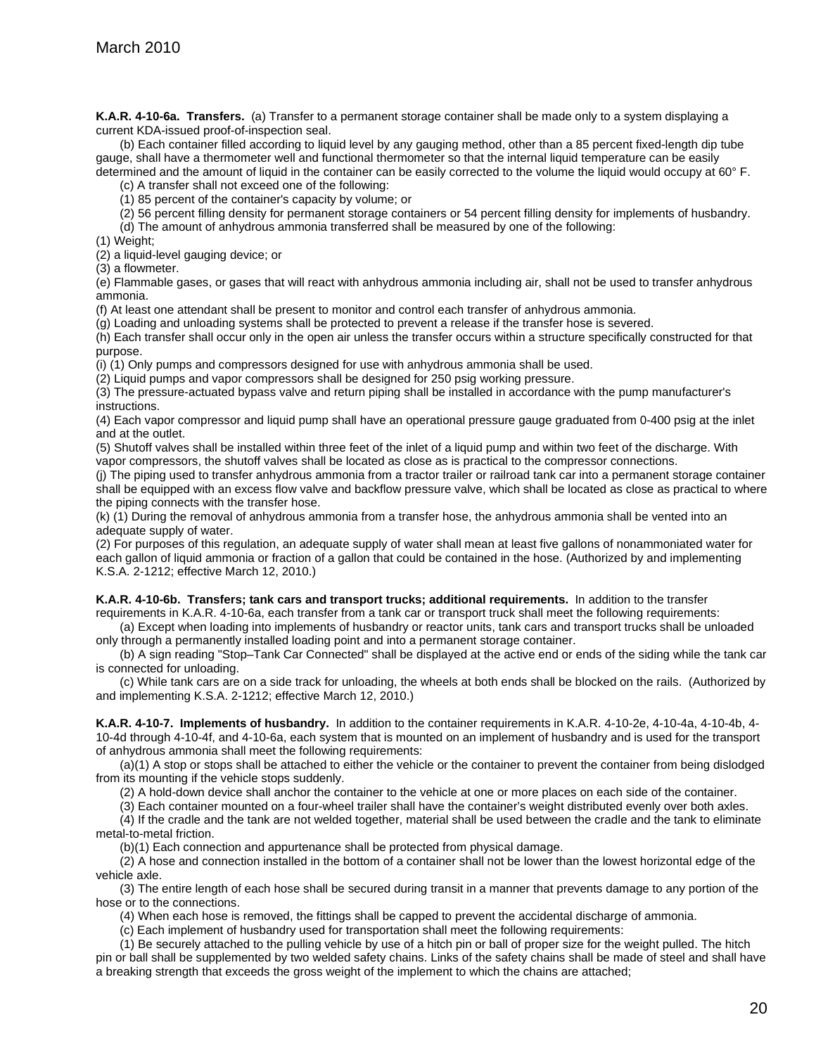**K.A.R. 4-10-6a. Transfers.** (a) Transfer to a permanent storage container shall be made only to a system displaying a current KDA-issued proof-of-inspection seal.

(b) Each container filled according to liquid level by any gauging method, other than a 85 percent fixed-length dip tube gauge, shall have a thermometer well and functional thermometer so that the internal liquid temperature can be easily determined and the amount of liquid in the container can be easily corrected to the volume the liquid would occupy at 60° F.

(c) A transfer shall not exceed one of the following:

(1) 85 percent of the container's capacity by volume; or

(2) 56 percent filling density for permanent storage containers or 54 percent filling density for implements of husbandry.

(d) The amount of anhydrous ammonia transferred shall be measured by one of the following:

(1) Weight;

(2) a liquid-level gauging device; or

(3) a flowmeter.

(e) Flammable gases, or gases that will react with anhydrous ammonia including air, shall not be used to transfer anhydrous ammonia.

(f) At least one attendant shall be present to monitor and control each transfer of anhydrous ammonia.

(g) Loading and unloading systems shall be protected to prevent a release if the transfer hose is severed.

(h) Each transfer shall occur only in the open air unless the transfer occurs within a structure specifically constructed for that purpose.

(i) (1) Only pumps and compressors designed for use with anhydrous ammonia shall be used.

(2) Liquid pumps and vapor compressors shall be designed for 250 psig working pressure.

(3) The pressure-actuated bypass valve and return piping shall be installed in accordance with the pump manufacturer's instructions.

(4) Each vapor compressor and liquid pump shall have an operational pressure gauge graduated from 0-400 psig at the inlet and at the outlet.

(5) Shutoff valves shall be installed within three feet of the inlet of a liquid pump and within two feet of the discharge. With vapor compressors, the shutoff valves shall be located as close as is practical to the compressor connections.

(j) The piping used to transfer anhydrous ammonia from a tractor trailer or railroad tank car into a permanent storage container shall be equipped with an excess flow valve and backflow pressure valve, which shall be located as close as practical to where the piping connects with the transfer hose.

(k) (1) During the removal of anhydrous ammonia from a transfer hose, the anhydrous ammonia shall be vented into an adequate supply of water.

(2) For purposes of this regulation, an adequate supply of water shall mean at least five gallons of nonammoniated water for each gallon of liquid ammonia or fraction of a gallon that could be contained in the hose. (Authorized by and implementing K.S.A. 2-1212; effective March 12, 2010.)

**K.A.R. 4-10-6b. Transfers; tank cars and transport trucks; additional requirements.** In addition to the transfer

requirements in K.A.R. 4-10-6a, each transfer from a tank car or transport truck shall meet the following requirements: (a) Except when loading into implements of husbandry or reactor units, tank cars and transport trucks shall be unloaded

only through a permanently installed loading point and into a permanent storage container.

(b) A sign reading "Stop–Tank Car Connected" shall be displayed at the active end or ends of the siding while the tank car is connected for unloading.

(c) While tank cars are on a side track for unloading, the wheels at both ends shall be blocked on the rails. (Authorized by and implementing K.S.A. 2-1212; effective March 12, 2010.)

**K.A.R. 4-10-7. Implements of husbandry.** In addition to the container requirements in K.A.R. 4-10-2e, 4-10-4a, 4-10-4b, 4- 10-4d through 4-10-4f, and 4-10-6a, each system that is mounted on an implement of husbandry and is used for the transport of anhydrous ammonia shall meet the following requirements:

(a)(1) A stop or stops shall be attached to either the vehicle or the container to prevent the container from being dislodged from its mounting if the vehicle stops suddenly.

(2) A hold-down device shall anchor the container to the vehicle at one or more places on each side of the container.

(3) Each container mounted on a four-wheel trailer shall have the container's weight distributed evenly over both axles.

(4) If the cradle and the tank are not welded together, material shall be used between the cradle and the tank to eliminate metal-to-metal friction.

(b)(1) Each connection and appurtenance shall be protected from physical damage.

(2) A hose and connection installed in the bottom of a container shall not be lower than the lowest horizontal edge of the vehicle axle.

(3) The entire length of each hose shall be secured during transit in a manner that prevents damage to any portion of the hose or to the connections.

(4) When each hose is removed, the fittings shall be capped to prevent the accidental discharge of ammonia.

(c) Each implement of husbandry used for transportation shall meet the following requirements:

(1) Be securely attached to the pulling vehicle by use of a hitch pin or ball of proper size for the weight pulled. The hitch pin or ball shall be supplemented by two welded safety chains. Links of the safety chains shall be made of steel and shall have a breaking strength that exceeds the gross weight of the implement to which the chains are attached;